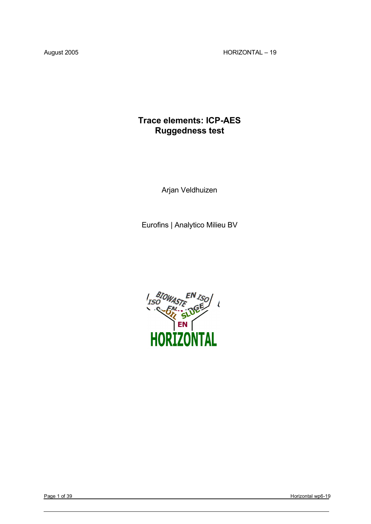# **Trace elements: ICP-AES Ruggedness test**

Arjan Veldhuizen

Eurofins | Analytico Milieu BV



Page 1 of 39 Horizontal wp6-19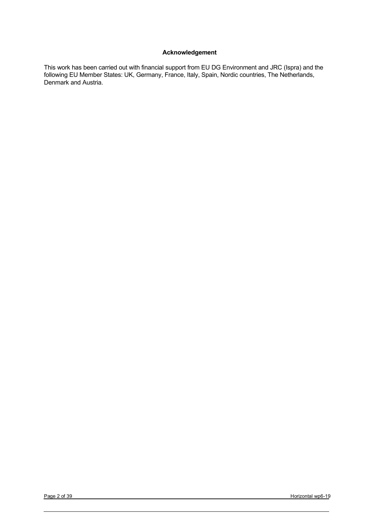# **Acknowledgement**

This work has been carried out with financial support from EU DG Environment and JRC (Ispra) and the following EU Member States: UK, Germany, France, Italy, Spain, Nordic countries, The Netherlands, Denmark and Austria.

Page 2 of 39 Horizontal wp6-19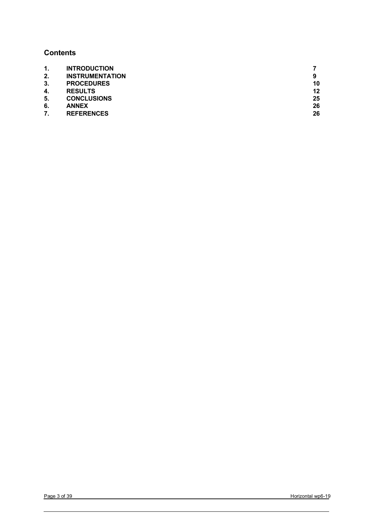# **Contents**

| 1. | <b>INTRODUCTION</b>    |    |
|----|------------------------|----|
| 2. | <b>INSTRUMENTATION</b> | 9  |
| 3. | <b>PROCEDURES</b>      | 10 |
| 4. | <b>RESULTS</b>         | 12 |
| 5. | <b>CONCLUSIONS</b>     | 25 |
| 6. | <b>ANNEX</b>           | 26 |
| 7. | <b>REFERENCES</b>      | 26 |
|    |                        |    |

Page 3 of 39 Horizontal wp6-19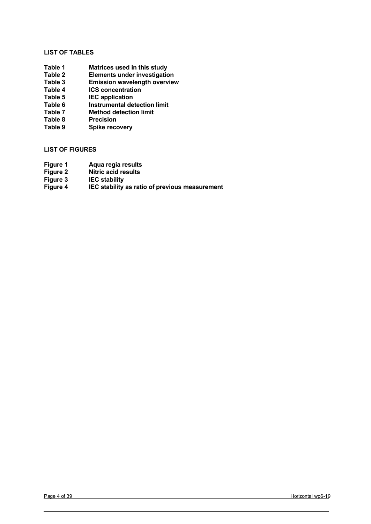# **LIST OF TABLES**

- **Table 1 Matrices used in this study**
- **Table 2 Elements under investigation**
- **Table 3 Emission wavelength overview**
- **Table 4 ICS concentration**
- **Table 5 IEC application**
- **Table 6 Instrumental detection limit**
- **Table 7 Method detection limit**
- **Table 8 Precision**
- **Spike recovery**

## **LIST OF FIGURES**

- **Figure 1 Aqua regia results**
- **Figure 2 Nitric acid results**
- **Figure 3 IEC stability**
- **IEC stability as ratio of previous measurement**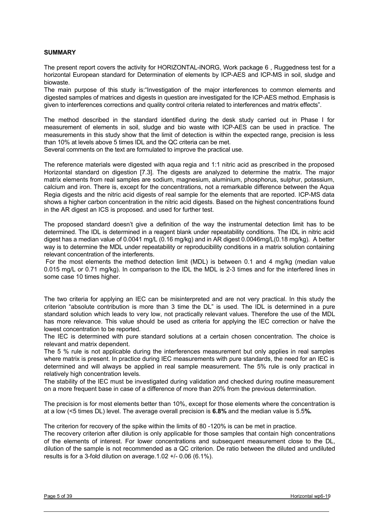#### **SUMMARY**

The present report covers the activity for HORIZONTAL-INORG, Work package 6 , Ruggedness test for a horizontal European standard for Determination of elements by ICP-AES and ICP-MS in soil, sludge and biowaste.

The main purpose of this study is:"Investigation of the major interferences to common elements and digested samples of matrices and digests in question are investigated for the ICP-AES method. Emphasis is given to interferences corrections and quality control criteria related to interferences and matrix effects".

The method described in the standard identified during the desk study carried out in Phase I for measurement of elements in soil, sludge and bio waste with ICP-AES can be used in practice. The measurements in this study show that the limit of detection is within the expected range, precision is less than 10% at levels above 5 times IDL and the QC criteria can be met.

Several comments on the text are formulated to improve the practical use.

The reference materials were digested with aqua regia and 1:1 nitric acid as prescribed in the proposed Horizontal standard on digestion [7.3]. The digests are analyzed to determine the matrix. The major matrix elements from real samples are sodium, magnesium, aluminium, phosphorus, sulphur, potassium, calcium and iron. There is, except for the concentrations, not a remarkable difference between the Aqua Regia digests and the nitric acid digests of real sample for the elements that are reported. ICP-MS data shows a higher carbon concentration in the nitric acid digests. Based on the highest concentrations found in the AR digest an ICS is proposed. and used for further test.

The proposed standard doesn't give a definition of the way the instrumental detection limit has to be determined. The IDL is determined in a reagent blank under repeatability conditions. The IDL in nitric acid digest has a median value of 0.0041 mg/L (0.16 mg/kg) and in AR digest 0.0046mg/L(0.18 mg/kg). A better way is to determine the MDL under repeatability or reproducibility conditions in a matrix solution containing relevant concentration of the interferents.

For the most elements the method detection limit (MDL) is between 0.1 and 4 mg/kg (median value 0.015 mg/L or 0.71 mg/kg). In comparison to the IDL the MDL is 2-3 times and for the interfered lines in some case 10 times higher.

The two criteria for applying an IEC can be misinterpreted and are not very practical. In this study the criterion "absolute contribution is more than 3 time the DL" is used. The IDL is determined in a pure standard solution which leads to very low, not practically relevant values. Therefore the use of the MDL has more relevance. This value should be used as criteria for applying the IEC correction or halve the lowest concentration to be reported.

The IEC is determined with pure standard solutions at a certain chosen concentration. The choice is relevant and matrix dependent.

The 5 % rule is not applicable during the interferences measurement but only applies in real samples where matrix is present. In practice during IEC measurements with pure standards, the need for an IEC is determined and will always be applied in real sample measurement. The 5% rule is only practical in relatively high concentration levels.

The stability of the IEC must be investigated during validation and checked during routine measurement on a more frequent base in case of a difference of more than 20% from the previous determination.

The precision is for most elements better than 10%, except for those elements where the concentration is at a low (<5 times DL) level. The average overall precision is **6.8%** and the median value is 5.5**%.**

The criterion for recovery of the spike within the limits of 80 -120% is can be met in practice.

The recovery criterion after dilution is only applicable for those samples that contain high concentrations of the elements of interest. For lower concentrations and subsequent measurement close to the DL, dilution of the sample is not recommended as a QC criterion. De ratio between the diluted and undiluted results is for a 3-fold dilution on average.1.02 +/- 0.06 (6.1%).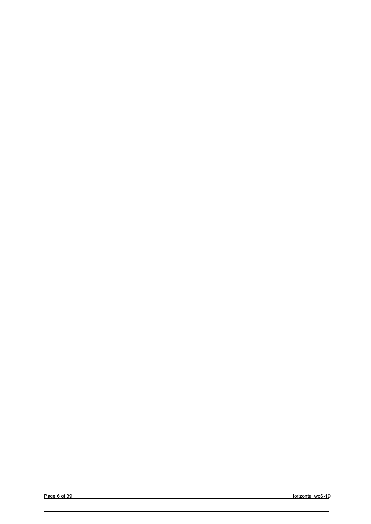Page 6 of 39 Horizontal wp6-19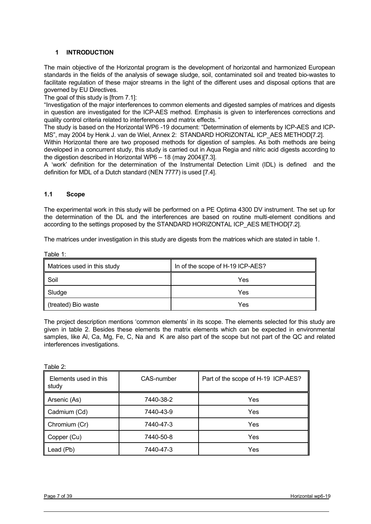## **1 INTRODUCTION**

The main objective of the Horizontal program is the development of horizontal and harmonized European standards in the fields of the analysis of sewage sludge, soil, contaminated soil and treated bio-wastes to facilitate regulation of these major streams in the light of the different uses and disposal options that are governed by EU Directives.

The goal of this study is [from 7.1]:

"Investigation of the major interferences to common elements and digested samples of matrices and digests in question are investigated for the ICP-AES method. Emphasis is given to interferences corrections and quality control criteria related to interferences and matrix effects. "

The study is based on the Horizontal WP6 -19 document: "Determination of elements by ICP-AES and ICP-MS", may 2004 by Henk J. van de Wiel, Annex 2: STANDARD HORIZONTAL ICP\_AES METHOD[7.2].

Within Horizontal there are two proposed methods for digestion of samples. As both methods are being developed in a concurrent study, this study is carried out in Aqua Regia and nitric acid digests according to the digestion described in Horizontal WP6 – 18 (may 2004)[7.3].

A 'work' definition for the determination of the Instrumental Detection Limit (IDL) is defined and the definition for MDL of a Dutch standard (NEN 7777) is used [7.4].

#### **1.1 Scope**

The experimental work in this study will be performed on a PE Optima 4300 DV instrument. The set up for the determination of the DL and the interferences are based on routine multi-element conditions and according to the settings proposed by the STANDARD HORIZONTAL ICP\_AES METHOD[7.2].

The matrices under investigation in this study are digests from the matrices which are stated in table 1.

| Matrices used in this study | In of the scope of H-19 ICP-AES? |
|-----------------------------|----------------------------------|
| Soil                        | Yes                              |
| Sludge                      | Yes                              |
| (treated) Bio waste         | Yes                              |

The project description mentions 'common elements' in its scope. The elements selected for this study are given in table 2. Besides these elements the matrix elements which can be expected in environmental samples, like Al, Ca, Mg, Fe, C, Na and K are also part of the scope but not part of the QC and related interferences investigations.

| Table 2:                       |            |                                    |  |  |
|--------------------------------|------------|------------------------------------|--|--|
| Elements used in this<br>study | CAS-number | Part of the scope of H-19 ICP-AES? |  |  |
| Arsenic (As)                   | 7440-38-2  | Yes                                |  |  |
| Cadmium (Cd)                   | 7440-43-9  | Yes                                |  |  |
| Chromium (Cr)                  | 7440-47-3  | Yes                                |  |  |
| Copper (Cu)                    | 7440-50-8  | Yes                                |  |  |
| Lead (Pb)                      | 7440-47-3  | Yes                                |  |  |

Table 1: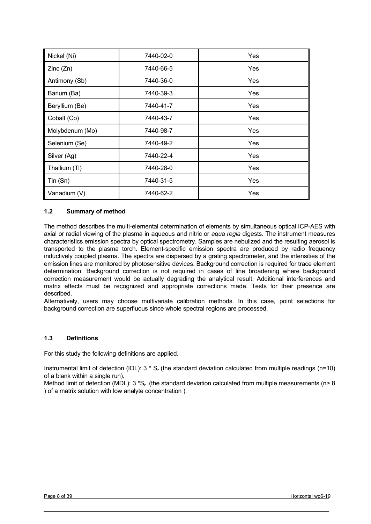| Nickel (Ni)     | 7440-02-0 | Yes |
|-----------------|-----------|-----|
| Zinc(Zn)        | 7440-66-5 | Yes |
| Antimony (Sb)   | 7440-36-0 | Yes |
| Barium (Ba)     | 7440-39-3 | Yes |
| Beryllium (Be)  | 7440-41-7 | Yes |
| Cobalt (Co)     | 7440-43-7 | Yes |
| Molybdenum (Mo) | 7440-98-7 | Yes |
| Selenium (Se)   | 7440-49-2 | Yes |
| Silver (Ag)     | 7440-22-4 | Yes |
| Thallium (TI)   | 7440-28-0 | Yes |
| Tin (Sn)        | 7440-31-5 | Yes |
| Vanadium (V)    | 7440-62-2 | Yes |

# **1.2 Summary of method**

The method describes the multi-elemental determination of elements by simultaneous optical ICP-AES with axial or radial viewing of the plasma in aqueous and nitric or *aqua regia* digests. The instrument measures characteristics emission spectra by optical spectrometry. Samples are nebulized and the resulting aerosol is transported to the plasma torch. Element-specific emission spectra are produced by radio frequency inductively coupled plasma. The spectra are dispersed by a grating spectrometer, and the intensities of the emission lines are monitored by photosensitive devices. Background correction is required for trace element determination. Background correction is not required in cases of line broadening where background correction measurement would be actually degrading the analytical result. Additional interferences and matrix effects must be recognized and appropriate corrections made. Tests for their presence are described.

Alternatively, users may choose multivariate calibration methods. In this case, point selections for background correction are superfluous since whole spectral regions are processed.

## **1.3 Definitions**

For this study the following definitions are applied.

Instrumental limit of detection (IDL):  $3 * S<sub>r</sub>$  (the standard deviation calculated from multiple readings (n=10) of a blank within a single run).

Method limit of detection (MDL):  $3 * S_r$  (the standard deviation calculated from multiple measurements (n> 8 ) of a matrix solution with low analyte concentration ).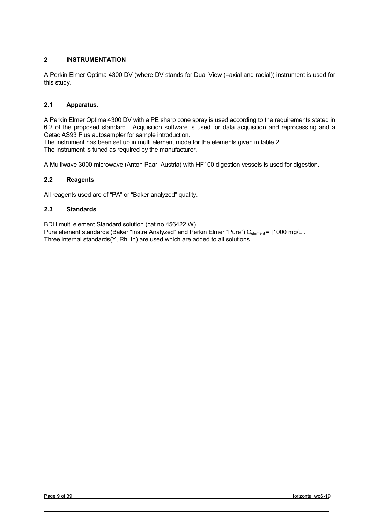# **2 INSTRUMENTATION**

A Perkin Elmer Optima 4300 DV (where DV stands for Dual View (=axial and radial)) instrument is used for this study.

# **2.1 Apparatus.**

A Perkin Elmer Optima 4300 DV with a PE sharp cone spray is used according to the requirements stated in 6.2 of the proposed standard. Acquisition software is used for data acquisition and reprocessing and a Cetac AS93 Plus autosampler for sample introduction.

The instrument has been set up in multi element mode for the elements given in table 2. The instrument is tuned as required by the manufacturer.

A Multiwave 3000 microwave (Anton Paar, Austria) with HF100 digestion vessels is used for digestion.

## **2.2 Reagents**

All reagents used are of "PA" or "Baker analyzed" quality.

#### **2.3 Standards**

BDH multi element Standard solution (cat no 456422 W)

Pure element standards (Baker "Instra Analyzed" and Perkin Elmer "Pure") C<sub>element</sub> = [1000 mg/L]. Three internal standards(Y, Rh, In) are used which are added to all solutions.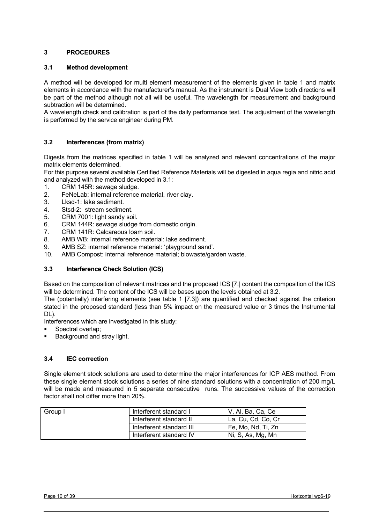# **3 PROCEDURES**

# **3.1 Method development**

A method will be developed for multi element measurement of the elements given in table 1 and matrix elements in accordance with the manufacturer's manual. As the instrument is Dual View both directions will be part of the method although not all will be useful. The wavelength for measurement and background subtraction will be determined.

A wavelength check and calibration is part of the daily performance test. The adjustment of the wavelength is performed by the service engineer during PM.

## **3.2 Interferences (from matrix)**

Digests from the matrices specified in table 1 will be analyzed and relevant concentrations of the major matrix elements determined.

For this purpose several available Certified Reference Materials will be digested in aqua regia and nitric acid and analyzed with the method developed in 3.1:

- 1. CRM 145R: sewage sludge.
- 2. FeNeLab: internal reference material, river clay.
- 3. Lksd-1: lake sediment.
- 4. Stsd-2: stream sediment.
- 5. CRM 7001: light sandy soil.
- 6. CRM 144R: sewage sludge from domestic origin.
- 7. CRM 141R: Calcareous loam soil.
- 8. AMB WB: internal reference material: lake sediment.
- 9. AMB SZ: internal reference material: 'playground sand'.
- 10. AMB Compost: internal reference material; biowaste/garden waste.

## **3.3 Interference Check Solution (ICS)**

Based on the composition of relevant matrices and the proposed ICS [7.] content the composition of the ICS will be determined. The content of the ICS will be bases upon the levels obtained at 3.2.

The (potentially) interfering elements (see table 1 [7.3]) are quantified and checked against the criterion stated in the proposed standard (less than 5% impact on the measured value or 3 times the Instrumental DL).

Interferences which are investigated in this study:

- Spectral overlap;
- Background and stray light.

## **3.4 IEC correction**

Single element stock solutions are used to determine the major interferences for ICP AES method. From these single element stock solutions a series of nine standard solutions with a concentration of 200 mg/L will be made and measured in 5 separate consecutive runs. The successive values of the correction factor shall not differ more than 20%.

| Group I | Interferent standard I   | V, Al, Ba, Ca, Ce  |
|---------|--------------------------|--------------------|
|         | Interferent standard II  | La, Cu, Cd, Co, Cr |
|         | Interferent standard III | Fe, Mo, Nd, Ti, Zn |
|         | Interferent standard IV  | Ni, S, As, Mg, Mn  |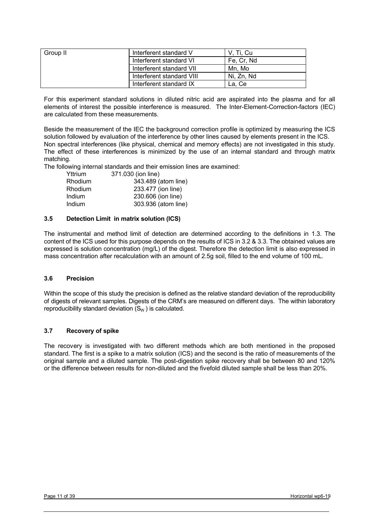| Group II | Interferent standard V    | V. Ti. Cu  |
|----------|---------------------------|------------|
|          | Interferent standard VI   | Fe, Cr, Nd |
|          | Interferent standard VII  | Mn. Mo     |
|          | Interferent standard VIII | Ni. Zn. Nd |
|          | Interferent standard IX   | La. Ce     |
|          |                           |            |

For this experiment standard solutions in diluted nitric acid are aspirated into the plasma and for all elements of interest the possible interference is measured. The Inter-Element-Correction-factors (IEC) are calculated from these measurements.

Beside the measurement of the IEC the background correction profile is optimized by measuring the ICS solution followed by evaluation of the interference by other lines caused by elements present in the ICS. Non spectral interferences (like physical, chemical and memory effects) are not investigated in this study. The effect of these interferences is minimized by the use of an internal standard and through matrix matching.

The following internal standards and their emission lines are examined:

| Yttrium | 371.030 (ion line)  |
|---------|---------------------|
| Rhodium | 343.489 (atom line) |
| Rhodium | 233.477 (ion line)  |
| Indium  | 230.606 (ion line)  |
| Indium  | 303.936 (atom line) |

## **3.5 Detection Limit in matrix solution (ICS)**

The instrumental and method limit of detection are determined according to the definitions in 1.3. The content of the ICS used for this purpose depends on the results of ICS in 3.2 & 3.3. The obtained values are expressed is solution concentration (mg/L) of the digest. Therefore the detection limit is also expressed in mass concentration after recalculation with an amount of 2.5g soil, filled to the end volume of 100 mL.

## **3.6 Precision**

Within the scope of this study the precision is defined as the relative standard deviation of the reproducibility of digests of relevant samples. Digests of the CRM's are measured on different days. The within laboratory reproducibility standard deviation  $(S_W)$  is calculated.

## **3.7 Recovery of spike**

The recovery is investigated with two different methods which are both mentioned in the proposed standard. The first is a spike to a matrix solution (ICS) and the second is the ratio of measurements of the original sample and a diluted sample. The post-digestion spike recovery shall be between 80 and 120% or the difference between results for non-diluted and the fivefold diluted sample shall be less than 20%.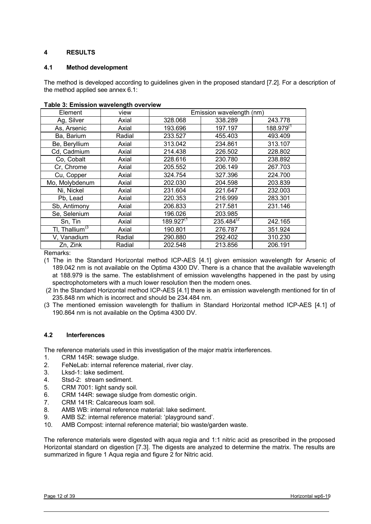## **4 RESULTS**

## **4.1 Method development**

The method is developed according to guidelines given in the proposed standard [7.2]. For a description of the method applied see annex 6.1:

| Element                    | view   | Emission wavelength (nm) |                 |           |
|----------------------------|--------|--------------------------|-----------------|-----------|
| Ag, Silver                 | Axial  | 328,068                  | 338.289         | 243.778   |
| As, Arsenic                | Axial  | 193.696                  | 197.197         | 188.979(1 |
| Ba, Barium                 | Radial | 233.527                  | 455.403         | 493.409   |
| Be, Beryllium              | Axial  | 313.042                  | 234.861         | 313.107   |
| Cd, Cadmium                | Axial  | 214.438                  | 226.502         | 228.802   |
| Co, Cobalt                 | Axial  | 228.616                  | 230.780         | 238.892   |
| Cr, Chrome                 | Axial  | 205.552                  | 206.149         | 267.703   |
| Cu, Copper                 | Axial  | 324.754                  | 327.396         | 224.700   |
| Mo, Molybdenum             | Axial  | 202.030                  | 204.598         | 203.839   |
| Ni, Nickel                 | Axial  | 231.604                  | 221.647         | 232.003   |
| Pb, Lead                   | Axial  | 220.353                  | 216.999         | 283.301   |
| Sb, Antimony               | Axial  | 206.833                  | 217.581         | 231.146   |
| Se, Selenium               | Axial  | 196.026                  | 203.985         |           |
| Sn, Tin                    | Axial  | 189.927 <sup>(1</sup>    | $235.484^{(2)}$ | 242.165   |
| TI, Thallium <sup>(3</sup> | Axial  | 190.801                  | 276.787         | 351.924   |
| V, Vanadium                | Radial | 290.880                  | 292.402         | 310.230   |
| Zn, Zink                   | Radial | 202.548                  | 213.856         | 206.191   |

**Table 3: Emission wavelength overview**

Remarks:

- (1 The in the Standard Horizontal method ICP-AES [4.1] given emission wavelength for Arsenic of 189.042 nm is not available on the Optima 4300 DV. There is a chance that the available wavelength at 188.979 is the same. The establishment of emission wavelengths happened in the past by using spectrophotometers with a much lower resolution then the modern ones.
- (2 In the Standard Horizontal method ICP-AES [4.1] there is an emission wavelength mentioned for tin of 235.848 nm which is incorrect and should be 234.484 nm.
- (3 The mentioned emission wavelength for thallium in Standard Horizontal method ICP-AES [4.1] of 190.864 nm is not available on the Optima 4300 DV.

## **4.2 Interferences**

The reference materials used in this investigation of the major matrix interferences.

- 1. CRM 145R: sewage sludge.
- 2. FeNeLab: internal reference material, river clay.
- 3. Lksd-1: lake sediment.<br>4. Stsd-2: stream sedime
- 
- 4. Stsd-2: stream sediment.<br>5. CRM 7001: light sandy so CRM 7001: light sandy soil.
- 6. CRM 144R: sewage sludge from domestic origin.
- 7. CRM 141R: Calcareous loam soil.
- 8. AMB WB: internal reference material: lake sediment.
- 9. AMB SZ: internal reference material: 'playground sand'.
- 10. AMB Compost: internal reference material; bio waste/garden waste.

The reference materials were digested with aqua regia and 1:1 nitric acid as prescribed in the proposed Horizontal standard on digestion [7.3]. The digests are analyzed to determine the matrix. The results are summarized in figure 1 Aqua regia and figure 2 for Nitric acid.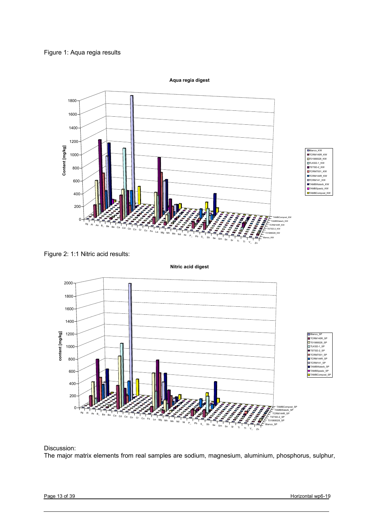



Figure 2: 1:1 Nitric acid results:

**Nitric acid digest**



# Discussion:

The major matrix elements from real samples are sodium, magnesium, aluminium, phosphorus, sulphur,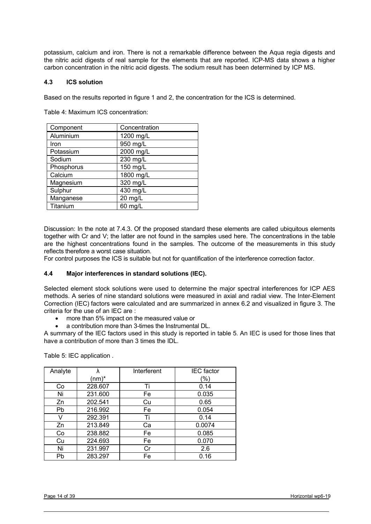potassium, calcium and iron. There is not a remarkable difference between the Aqua regia digests and the nitric acid digests of real sample for the elements that are reported. ICP-MS data shows a higher carbon concentration in the nitric acid digests. The sodium result has been determined by ICP MS.

#### **4.3 ICS solution**

Based on the results reported in figure 1 and 2, the concentration for the ICS is determined.

Table 4: Maximum ICS concentration:

| Component  | Concentration |
|------------|---------------|
| Aluminium  | 1200 mg/L     |
| Iron       | 950 mg/L      |
| Potassium  | 2000 mg/L     |
| Sodium     | 230 mg/L      |
| Phosphorus | 150 mg/L      |
| Calcium    | 1800 mg/L     |
| Magnesium  | 320 mg/L      |
| Sulphur    | 430 mg/L      |
| Manganese  | 20 mg/L       |
| Titanium   | 60 mg/L       |

Discussion: In the note at 7.4.3. Of the proposed standard these elements are called ubiquitous elements together with Cr and V; the latter are not found in the samples used here. The concentrations in the table are the highest concentrations found in the samples. The outcome of the measurements in this study reflects therefore a worst case situation.

For control purposes the ICS is suitable but not for quantification of the interference correction factor.

## **4.4 Major interferences in standard solutions (IEC).**

Selected element stock solutions were used to determine the major spectral interferences for ICP AES methods. A series of nine standard solutions were measured in axial and radial view. The Inter-Element Correction (IEC) factors were calculated and are summarized in annex 6.2 and visualized in figure 3. The criteria for the use of an IEC are :

- more than 5% impact on the measured value or
- · a contribution more than 3-times the Instrumental DL.

A summary of the IEC factors used in this study is reported in table 5. An IEC is used for those lines that have a contribution of more than 3 times the IDL.

Table 5: IEC application .

| Analyte |          | Interferent | <b>IEC</b> factor |
|---------|----------|-------------|-------------------|
|         | $(mm)^*$ |             | $(\%)$            |
| Co      | 228.607  | Ti          | 0.14              |
| Ni      | 231.600  | Fe          | 0.035             |
| Zn      | 202.541  | Cu          | 0.65              |
| Pb      | 216.992  | Fe          | 0.054             |
| V       | 292.391  | Ti          | 0.14              |
| Zn      | 213.849  | Ca          | 0.0074            |
| Co      | 238.882  | Fe          | 0.085             |
| Cu      | 224.693  | Fe          | 0.070             |
| Ni      | 231.997  | Cr          | 2.6               |
| Pb      | 283.297  | Fe          | 0.16              |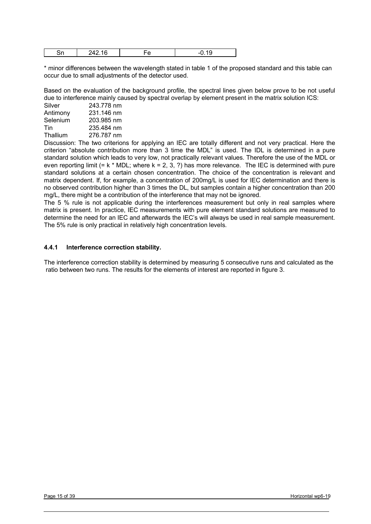| . |  |  |
|---|--|--|
|---|--|--|

\* minor differences between the wavelength stated in table 1 of the proposed standard and this table can occur due to small adjustments of the detector used.

Based on the evaluation of the background profile, the spectral lines given below prove to be not useful due to interference mainly caused by spectral overlap by element present in the matrix solution ICS:

| Silver   | 243.778 nm |
|----------|------------|
| Antimony | 231.146 nm |
| Selenium | 203.985 nm |
| Tin      | 235.484 nm |
| Thallium | 276.787 nm |
|          |            |

Discussion: The two criterions for applying an IEC are totally different and not very practical. Here the criterion "absolute contribution more than 3 time the MDL" is used. The IDL is determined in a pure standard solution which leads to very low, not practically relevant values. Therefore the use of the MDL or even reporting limit (=  $k * MDL$ ; where  $k = 2, 3, ?$ ) has more relevance. The IEC is determined with pure standard solutions at a certain chosen concentration. The choice of the concentration is relevant and matrix dependent. If, for example, a concentration of 200mg/L is used for IEC determination and there is no observed contribution higher than 3 times the DL, but samples contain a higher concentration than 200 mg/L, there might be a contribution of the interference that may not be ignored.

The 5 % rule is not applicable during the interferences measurement but only in real samples where matrix is present. In practice, IEC measurements with pure element standard solutions are measured to determine the need for an IEC and afterwards the IEC's will always be used in real sample measurement. The 5% rule is only practical in relatively high concentration levels.

## **4.4.1 Interference correction stability.**

The interference correction stability is determined by measuring 5 consecutive runs and calculated as the ratio between two runs. The results for the elements of interest are reported in figure 3.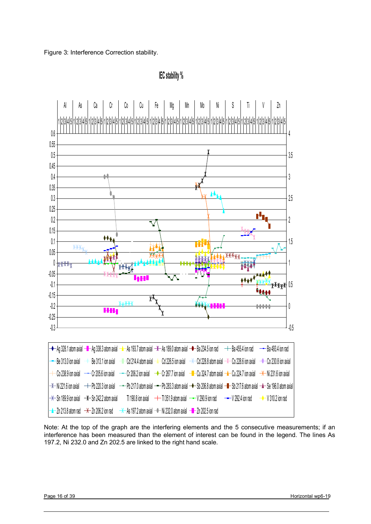Figure 3: Interference Correction stability.

Al | As | VG | VI | VV | VU | IV | IVII| IVIII | IVIV | IVII | V | II | V | 411 1 2 3 4 5 1 2 3 4 5 1 2 3 4 5 1 2 3 4 5 1 2 3 4 5 1 2 3 4 5 1 2 3 4 5 1 2 3 4 5 1 2 3 4 5 1 2 3 4 5 1 2 3 4 5 1 2 3 4 5 1 2 3 4 5 1 2 3 4 5 1 2 3 4 5 0.6 т. 0.55 0.5 3.5 0.45 0.4 3 0.35  $\mathbf{H}$ 0.3 2.5 0.25 rh, 0.2 2 0.15  $\overline{H}$ 0.1 1.5 XXX 0.05 **XXXXX XXXX** 0 \*\*\*\*\*  $\mathbf{H}$ 1 -0.05 4H -0.1 0.5 -0.15  $\overline{\mathbb{Y}}$ V v V V ₩ -0.2 0 **MMM HH** -0.25 -0.3 -0.5  $\rightarrow$  Ag 328.1 atom axial  $-$  Ag 338.3 atom axial  $-$  As 193.7 atom axial  $-$  X- As 189.0 atom axial  $-$  Ba 234.5 ion rad  $-$  Ba 455.4 ion rad  $-$  Ba 493.4 ion rad -Be 313.0 ion axial  $\phantom{a}$  Be 313.1 ion axial  $\phantom{a}$  Cd 214.4 atom axial  $\phantom{a}$  Cd 226.5 ion axial  $\phantom{a}$  Cd 228.8 atom axial  $\phantom{a}$  Co 228.6 ion axial  $\phantom{a}$  Co 230.8 ion axial  $-$  Co 238.9 ion axial  $-$  Cr 205.6 ion axial  $-$  Cr 206.2 ion axial  $-\bullet$  Cr 267.7 ion axial  $-$  Cu 324.7 atom axial  $-\bullet$  Cu 224.7 ion axial  $-\star$  Ni 231.6 ion axial  $\pmb{\times}$  Ni 221.6 ion axial  $\rightarrow$  Pb 220.3 ion axial  $\rightarrow$  Pb 217.0 atom axial  $\rightarrow$  Pb 283.3 atom axial  $\rightarrow$  Sb 206.8 atom axial  $\rightarrow$  Sb 217.6 atom axial  $\rightarrow$  Se 196.0 atom axial  $\times$  Sn 189.9 ion axial  $\times$  Sn 242.2 atom axial TI 190.8 ion axial  $\times$  TI 351.9 atom axial  $\times$  V 290.9 ion rad  $\times$  V 292.4 ion rad  $\times$  V 310.2 ion rad -Zn 213.8 atom rad  $\rightarrow$   $\rightarrow$  Zn 206.2 ion rad  $\rightarrow$  As 197.2 atom axial  $\rightarrow$  Ni 232.0 atom axial  $\rightarrow$  Zn 202.5 ion rad

Note: At the top of the graph are the interfering elements and the 5 consecutive measurements; if an interference has been measured than the element of interest can be found in the legend. The lines As 197.2, Ni 232.0 and Zn 202.5 are linked to the right hand scale.

**IEC stability %**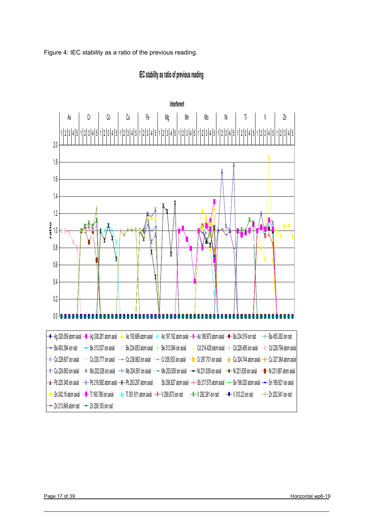Figure 4: IEC stability as a ratio of the previous reading.



**IEC stability as ratio of previous reading**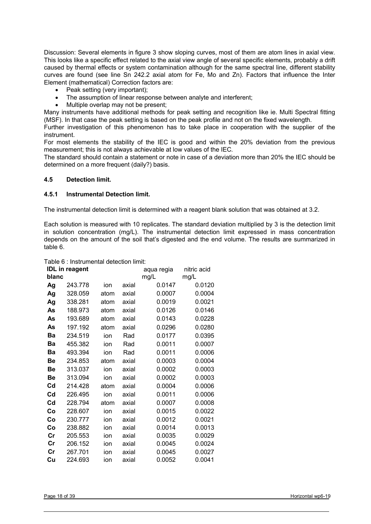Discussion: Several elements in figure 3 show sloping curves, most of them are atom lines in axial view. This looks like a specific effect related to the axial view angle of several specific elements, probably a drift caused by thermal effects or system contamination although for the same spectral line, different stability curves are found (see line Sn 242.2 axial atom for Fe, Mo and Zn). Factors that influence the Inter Element (mathematical) Correction factors are:

- Peak setting (very important);
- The assumption of linear response between analyte and interferent;
- · Multiple overlap may not be present;

Many instruments have additional methods for peak setting and recognition like ie. Multi Spectral fitting (MSF). In that case the peak setting is based on the peak profile and not on the fixed wavelength.

Further investigation of this phenomenon has to take place in cooperation with the supplier of the instrument.

For most elements the stability of the IEC is good and within the 20% deviation from the previous measurement; this is not always achievable at low values of the IEC.

The standard should contain a statement or note in case of a deviation more than 20% the IEC should be determined on a more frequent (daily?) basis.

#### **4.5 Detection limit.**

#### **4.5.1 Instrumental Detection limit.**

The instrumental detection limit is determined with a reagent blank solution that was obtained at 3.2.

Each solution is measured with 10 replicates. The standard deviation multiplied by 3 is the detection limit in solution concentration (mg/L). The instrumental detection limit expressed in mass concentration depends on the amount of the soil that's digested and the end volume. The results are summarized in table 6.

Table 6 : Instrumental detection limit:

|       | <b>IDL</b> in reagent |      |       | aqua regia | nitric acid |
|-------|-----------------------|------|-------|------------|-------------|
| blanc |                       |      |       | mg/L       | mg/L        |
| Ag    | 243.778               | ion  | axial | 0.0147     | 0.0120      |
| Ag    | 328.059               | atom | axial | 0.0007     | 0.0004      |
| Ag    | 338.281               | atom | axial | 0.0019     | 0.0021      |
| As    | 188.973               | atom | axial | 0.0126     | 0.0146      |
| As    | 193.689               | atom | axial | 0.0143     | 0.0228      |
| As    | 197.192               | atom | axial | 0.0296     | 0.0280      |
| Ba    | 234.519               | ion  | Rad   | 0.0177     | 0.0395      |
| Ba    | 455.382               | ion  | Rad   | 0.0011     | 0.0007      |
| Ba    | 493.394               | ion  | Rad   | 0.0011     | 0.0006      |
| Be    | 234.853               | atom | axial | 0.0003     | 0.0004      |
| Be    | 313.037               | ion  | axial | 0.0002     | 0.0003      |
| Be    | 313.094               | ion  | axial | 0.0002     | 0.0003      |
| Cd    | 214.428               | atom | axial | 0.0004     | 0.0006      |
| Cd    | 226.495               | ion  | axial | 0.0011     | 0.0006      |
| Cd    | 228.794               | atom | axial | 0.0007     | 0.0008      |
| Co    | 228.607               | ion  | axial | 0.0015     | 0.0022      |
| Co    | 230.777               | ion  | axial | 0.0012     | 0.0021      |
| Co    | 238.882               | ion  | axial | 0.0014     | 0.0013      |
| cr    | 205.553               | ion  | axial | 0.0035     | 0.0029      |
| cr    | 206.152               | ion  | axial | 0.0045     | 0.0024      |
| cr    | 267.701               | ion  | axial | 0.0045     | 0.0027      |
| Cu    | 224.693               | ion  | axial | 0.0052     | 0.0041      |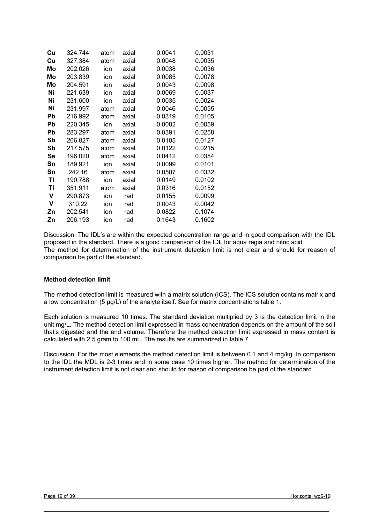| Cu | 324.744 | atom | axial | 0.0041 | 0.0031 |
|----|---------|------|-------|--------|--------|
| Cu | 327.384 | atom | axial | 0.0048 | 0.0035 |
| Mo | 202.026 | ion  | axial | 0.0038 | 0.0036 |
| Mo | 203.839 | ion  | axial | 0.0085 | 0.0078 |
| Mo | 204.591 | ion  | axial | 0.0043 | 0.0098 |
| Ni | 221.639 | ion  | axial | 0.0069 | 0.0037 |
| Ni | 231.600 | ion  | axial | 0.0035 | 0.0024 |
| Ni | 231.997 | atom | axial | 0.0046 | 0.0055 |
| Pb | 216.992 | atom | axial | 0.0319 | 0.0105 |
| Pb | 220.345 | ion  | axial | 0.0082 | 0.0059 |
| Pb | 283.297 | atom | axial | 0.0391 | 0.0258 |
| Sb | 206.827 | atom | axial | 0.0105 | 0.0127 |
| Sb | 217.575 | atom | axial | 0.0122 | 0.0215 |
| Se | 196.020 | atom | axial | 0.0412 | 0.0354 |
| Sn | 189.921 | ion  | axial | 0.0099 | 0.0101 |
| Sn | 242.16  | atom | axial | 0.0507 | 0.0332 |
| TI | 190.788 | ion  | axial | 0.0149 | 0.0102 |
| TI | 351.911 | atom | axial | 0.0316 | 0.0152 |
| V  | 290.873 | ion  | rad   | 0.0155 | 0.0099 |
| v  | 310.22  | ion  | rad   | 0.0043 | 0.0042 |
| Zn | 202.541 | ion  | rad   | 0.0822 | 0.1074 |
| Zn | 206.193 | ion  | rad   | 0.1643 | 0.1602 |

Discussion: The IDL's are within the expected concentration range and in good comparison with the IDL proposed in the standard. There is a good comparison of the IDL for aqua regia and nitric acid The method for determination of the instrument detection limit is not clear and should for reason of comparison be part of the standard.

#### **Method detection limit**

The method detection limit is measured with a matrix solution (ICS). The ICS solution contains matrix and a low concentration (5 µg/L) of the analyte itself. See for matrix concentrations table 1.

Each solution is measured 10 times. The standard deviation multiplied by 3 is the detection limit in the unit mg/L. The method detection limit expressed in mass concentration depends on the amount of the soil that's digested and the end volume. Therefore the method detection limit expressed in mass content is calculated with 2.5 gram to 100 mL. The results are summarized in table 7.

Discussion: For the most elements the method detection limit is between 0.1 and 4 mg/kg. In comparison to the IDL the MDL is 2-3 times and in some case 10 times higher. The method for determination of the instrument detection limit is not clear and should for reason of comparison be part of the standard.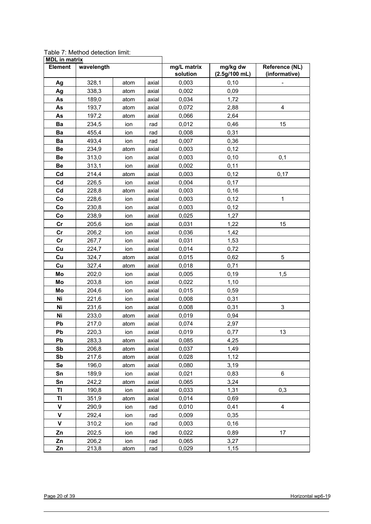| Table 7: Method detection limit: |  |
|----------------------------------|--|
|----------------------------------|--|

| <b>MDL</b> in matrix |            |      |       |                         |                             |                                 |
|----------------------|------------|------|-------|-------------------------|-----------------------------|---------------------------------|
| <b>Element</b>       | wavelength |      |       | mg/L matrix<br>solution | mg/kg dw<br>$(2.5g/100$ mL) | Reference (NL)<br>(informative) |
| Ag                   | 328,1      | atom | axial | 0,003                   | 0, 10                       | -                               |
| Ag                   | 338,3      | atom | axial | 0,002                   | 0,09                        |                                 |
| As                   | 189,0      | atom | axial | 0,034                   | 1,72                        |                                 |
| As                   | 193,7      | atom | axial | 0,072                   | 2,88                        | 4                               |
| As                   | 197,2      | atom | axial | 0,066                   | 2,64                        |                                 |
| Ba                   | 234,5      | ion  | rad   | 0,012                   | 0,46                        | 15                              |
| Ba                   | 455,4      | ion  | rad   | 0,008                   | 0,31                        |                                 |
| Ba                   | 493,4      | ion  | rad   | 0,007                   | 0,36                        |                                 |
| Be                   | 234,9      | atom | axial | 0,003                   | 0,12                        |                                 |
| Be                   | 313,0      | ion  | axial | 0,003                   | 0, 10                       | 0,1                             |
| Be                   | 313,1      | ion  | axial | 0,002                   | 0,11                        |                                 |
| Cd                   | 214,4      | atom | axial | 0,003                   | 0,12                        | 0,17                            |
| Cd                   | 226,5      | ion  | axial | 0,004                   | 0,17                        |                                 |
| C <sub>d</sub>       | 228,8      | atom | axial | 0,003                   | 0, 16                       |                                 |
| Co                   | 228,6      | ion  | axial | 0,003                   | 0,12                        | 1                               |
| Co                   | 230,8      | ion  | axial | 0,003                   | 0,12                        |                                 |
| Co                   | 238,9      | ion  | axial | 0,025                   | 1,27                        |                                 |
| cr                   | 205,6      | ion  | axial | 0,031                   | 1,22                        | 15                              |
| cr                   | 206,2      | ion  | axial | 0,036                   | 1,42                        |                                 |
| cr                   | 267,7      | ion  | axial | 0,031                   | 1,53                        |                                 |
| Cu                   | 224,7      | ion  | axial | 0,014                   | 0,72                        |                                 |
| Cu                   | 324,7      | atom | axial | 0,015                   | 0,62                        | $\mathbf 5$                     |
| Cu                   | 327,4      | atom | axial | 0,018                   | 0,71                        |                                 |
| Mo                   | 202,0      | ion  | axial | 0,005                   | 0, 19                       | 1,5                             |
| Mo                   | 203,8      | ion  | axial | 0,022                   | 1,10                        |                                 |
| Mo                   | 204,6      | ion  | axial | 0,015                   | 0,59                        |                                 |
| Ni                   | 221,6      | ion  | axial | 0,008                   | 0,31                        |                                 |
| Ni                   | 231,6      | ion  | axial | 0,008                   | 0,31                        | $\ensuremath{\mathsf{3}}$       |
| Ni                   | 233,0      | atom | axial | 0,019                   | 0,94                        |                                 |
| Pb                   | 217,0      | atom | axial | 0,074                   | 2,97                        |                                 |
| Pb                   | 220,3      | ion  | axial | 0,019                   | 0,77                        | 13                              |
| Pb                   | 283,3      | atom | axial | 0,085                   | 4,25                        |                                 |
| Sb                   | 206,8      | atom | axial | 0,037                   | 1,49                        |                                 |
| Sb                   | 217,6      | atom | axial | 0,028                   | 1,12                        |                                 |
| Se                   | 196,0      | atom | axial | 0,080                   | 3,19                        |                                 |
| Sn                   | 189,9      | ion  | axial | 0,021                   | 0,83                        | 6                               |
| Sn                   | 242,2      | atom | axial | 0,065                   | 3,24                        |                                 |
| TI                   | 190,8      | ion  | axial | 0,033                   | 1,31                        | 0,3                             |
| TI                   | 351,9      | atom | axial | 0,014                   | 0,69                        |                                 |
| V                    | 290,9      | ion  | rad   | 0,010                   | 0,41                        | 4                               |
| V                    | 292,4      | ion  | rad   | 0,009                   | 0,35                        |                                 |
| V                    | 310,2      | ion  | rad   | 0,003                   | 0, 16                       |                                 |
| Zn                   | 202,5      | ion  | rad   | 0,022                   | 0,89                        | 17                              |
| Zn                   | 206,2      | ion  | rad   | 0,065                   | 3,27                        |                                 |
| Zn                   | 213,8      | atom | rad   | 0,029                   | 1,15                        |                                 |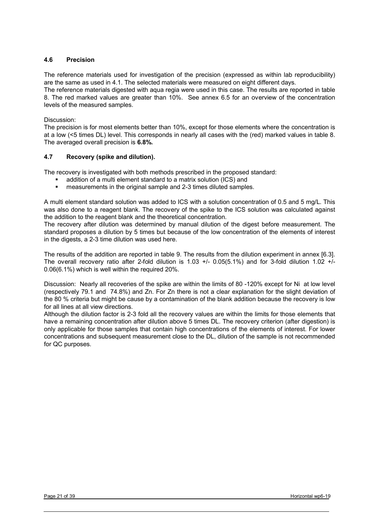## **4.6 Precision**

The reference materials used for investigation of the precision (expressed as within lab reproducibility) are the same as used in 4.1. The selected materials were measured on eight different days.

The reference materials digested with aqua regia were used in this case. The results are reported in table 8. The red marked values are greater than 10%. See annex 6.5 for an overview of the concentration levels of the measured samples.

Discussion:

The precision is for most elements better than 10%, except for those elements where the concentration is at a low (<5 times DL) level. This corresponds in nearly all cases with the (red) marked values in table 8. The averaged overall precision is **6.8%.** 

## **4.7 Recovery (spike and dilution).**

The recovery is investigated with both methods prescribed in the proposed standard:

- addition of a multi element standard to a matrix solution (ICS) and
- measurements in the original sample and 2-3 times diluted samples.

A multi element standard solution was added to ICS with a solution concentration of 0.5 and 5 mg/L. This was also done to a reagent blank. The recovery of the spike to the ICS solution was calculated against the addition to the reagent blank and the theoretical concentration.

The recovery after dilution was determined by manual dilution of the digest before measurement. The standard proposes a dilution by 5 times but because of the low concentration of the elements of interest in the digests, a 2-3 time dilution was used here.

The results of the addition are reported in table 9. The results from the dilution experiment in annex [6.3]. The overall recovery ratio after 2-fold dilution is 1.03 +/- 0.05(5.1%) and for 3-fold dilution 1.02 +/-0.06(6.1%) which is well within the required 20%.

Discussion: Nearly all recoveries of the spike are within the limits of 80 -120% except for Ni at low level (respectively 79.1 and 74.8%) and Zn. For Zn there is not a clear explanation for the slight deviation of the 80 % criteria but might be cause by a contamination of the blank addition because the recovery is low for all lines at all view directions.

Although the dilution factor is 2-3 fold all the recovery values are within the limits for those elements that have a remaining concentration after dilution above 5 times DL. The recovery criterion (after digestion) is only applicable for those samples that contain high concentrations of the elements of interest. For lower concentrations and subsequent measurement close to the DL, dilution of the sample is not recommended for QC purposes.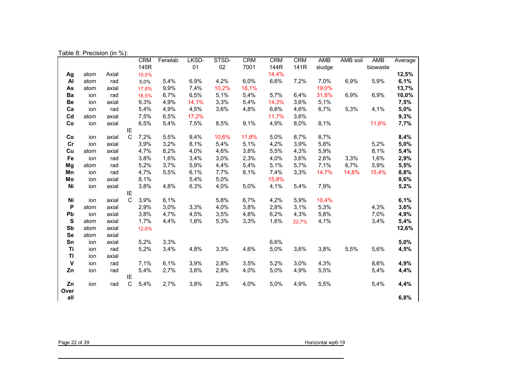|                | $1$ able 0. Theoloidit (IIT 70). |              |              | <b>CRM</b>    | Fenelab | LKSD- | STSD- | <b>CRM</b> | <b>CRM</b>    | <b>CRM</b> | <b>AMB</b> | AMB soil | AMB      | Average       |
|----------------|----------------------------------|--------------|--------------|---------------|---------|-------|-------|------------|---------------|------------|------------|----------|----------|---------------|
|                |                                  |              |              | 145R          |         | 01    | 02    | 7001       | 144R          | 141R       | sludge     |          | biowaste |               |
| Ag<br>Al       | atom<br>atom                     | Axial<br>rad |              | 10,5%         | 5,4%    | 6,9%  | 4,2%  | 6,0%       | 14,4%<br>6,6% | 7,2%       | 7,0%       | 6,9%     | 5,9%     | 12,5%<br>6,1% |
| As             | atom                             | axial        |              | 5,0%<br>17,8% | 9,9%    | 7,4%  | 10,2% | 18,1%      |               |            | 19,0%      |          |          | 13,7%         |
| Ba             | ion                              | rad          |              | 18,5%         | 6,7%    | 6,5%  | 5,1%  | 5,4%       | 5,7%          | 6,4%       | 31,8%      | 6,9%     | 6,9%     | 10,0%         |
| Be             | ion                              | axial        |              | 9,3%          | 4,9%    | 14,1% | 3,3%  | 5,4%       | 14,3%         | 3,6%       | 5,1%       |          |          | 7,5%          |
| Ca             | ion                              | rad          |              | 5,4%          | 4,9%    | 4,5%  | 3,6%  | 4,8%       | 6,6%          | 4,6%       | 6,7%       | 5,3%     | 4,1%     | 5,0%          |
| C <sub>d</sub> | atom                             | axial        |              | 7,5%          | 6,5%    | 17,2% |       |            | 11,7%         | 3,6%       |            |          |          | 9,3%          |
| Co             | ion                              | axial        |              | 6,5%          | 5,4%    | 7,5%  | 8,5%  | 9,1%       | 4,9%          | 8,0%       | 8,1%       |          | 11,6%    | 7,7%          |
|                |                                  |              | IE           |               |         |       |       |            |               |            |            |          |          |               |
| Co             | ion                              | axial        | $\mathsf{C}$ | 7,2%          | 5,5%    | 9,4%  | 10,6% | 11,8%      | 5,0%          | 8,7%       | 8,7%       |          |          | 8,4%          |
| Cr             | ion                              | axial        |              | 3,9%          | 3,2%    | 8,1%  | 5,4%  | 5,1%       | 4,2%          | 3,9%       | 5,8%       |          | 5,2%     | 5,0%          |
| Cu             | atom                             | axial        |              | 4,7%          | 8,2%    | 4,0%  | 4,6%  | 3,8%       | 5,5%          | 4,3%       | 5,9%       |          | 8,1%     | 5,4%          |
| Fe             | ion                              | rad          |              | 3,8%          | 1,6%    | 3,4%  | 3,0%  | 2,3%       | 4,0%          | 3,6%       | 2,6%       | 3,3%     | 1,6%     | 2,9%          |
| Mg             | atom                             | rad          |              | 5,2%          | 3,7%    | 5,9%  | 4,4%  | 5,4%       | 5,1%          | 5,7%       | 7,1%       | 6,7%     | 5,9%     | 5,5%          |
| Mn             | ion                              | rad          |              | 4,7%          | 5,5%    | 6,1%  | 7,7%  | 8,1%       | 7,4%          | 3,3%       | 14,7%      | 14,8%    | 15,4%    | 8,8%          |
| Mo             | ion                              | axial        |              | 8,1%          |         | 5,4%  | 5,0%  |            | 15,8%         |            |            |          |          | 8,6%          |
| Ni             | ion                              | axial        |              | 3,8%          | 4,8%    | 6,3%  | 4,0%  | 5,0%       | 4,1%          | 5,4%       | 7,9%       |          |          | 5,2%          |
|                |                                  |              | IE           |               |         |       |       |            |               |            |            |          |          |               |
| Ni             | ion                              | axial        | $\mathsf C$  | 3,9%          | 6,1%    |       | 5,8%  | 6,7%       | 4,2%          | 5,9%       | 10,4%      |          |          | 6,1%          |
| P              | atom                             | axial        |              | 2,9%          | 3,0%    | 3,3%  | 4,0%  | 3,8%       | 2,8%          | 3,1%       | 5,3%       |          | 4,3%     | 3,6%          |
| Pb             | ion                              | axial        |              | 3,8%          | 4,7%    | 4,5%  | 3,5%  | 4,8%       | 6,2%          | 4,3%       | 5,8%       |          | 7,0%     | 4,9%          |
| S              | atom                             | axial        |              | 1,7%          | 4,4%    | 1,8%  | 5,3%  | 3,3%       | 1,6%          | 22,7%      | 4,1%       |          | 3,4%     | 5,4%          |
| Sb             | atom                             | axial        |              | 12,6%         |         |       |       |            |               |            |            |          |          | 12,6%         |
| <b>Se</b>      | atom                             | axial        |              |               |         |       |       |            |               |            |            |          |          |               |
| Sn             | ion                              | axial        |              | 5,2%          | 3,3%    |       |       |            | 6,6%          |            |            |          |          | 5,0%          |
| Ti             | ion                              | rad          |              | 5,2%          | 3,4%    | 4,8%  | 3,3%  | 4,6%       | 5,0%          | 3,6%       | 3,8%       | 5,5%     | 5,6%     | 4,5%          |
| TI             | ion                              | axial        |              |               |         |       |       |            |               |            |            |          |          |               |
| $\mathbf v$    | ion                              | rad          |              | 7,1%          | 6,1%    | 3,9%  | 2,8%  | 3,5%       | 5,2%          | 3,0%       | 4,3%       |          | 8,6%     | 4,9%          |
| Zn             | ion                              | rad          |              | 5,4%          | 2,7%    | 3,8%  | 2,8%  | 4,0%       | 5,0%          | 4,9%       | 5,5%       |          | 5,4%     | 4,4%          |
|                |                                  |              | IE           |               |         |       |       |            |               |            |            |          |          |               |
| Zn             | ion                              | rad          | $\mathsf C$  | 5,4%          | 2,7%    | 3,8%  | 2,8%  | 4,0%       | 5,0%          | 4,9%       | 5,5%       |          | 5,4%     | 4,4%          |
| Over           |                                  |              |              |               |         |       |       |            |               |            |            |          |          |               |
| all            |                                  |              |              |               |         |       |       |            |               |            |            |          |          | 6,8%          |

Table 8: Precision (in %):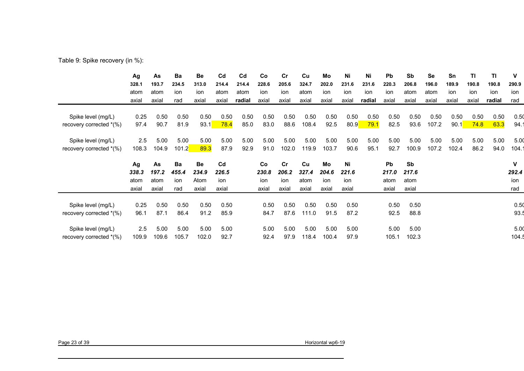Table 9: Spike recovery (in %):

|                         | Ag    | As    | Ba    | Be    | C <sub>d</sub> | C <sub>d</sub> | Co    | cr    | Cu    | Mo    | Ni    | Ni     | Pb        | Sb    | <b>Se</b> | Sn    | <b>TI</b> | <b>TI</b> | v     |
|-------------------------|-------|-------|-------|-------|----------------|----------------|-------|-------|-------|-------|-------|--------|-----------|-------|-----------|-------|-----------|-----------|-------|
|                         | 328.1 | 193.7 | 234.5 | 313.0 | 214.4          | 214.4          | 228.6 | 205.6 | 324.7 | 202.0 | 231.6 | 231.6  | 220.3     | 206.8 | 196.0     | 189.9 | 190.8     | 190.8     | 290.9 |
|                         | atom  | atom  | ion   | ion   | atom           | atom           | ion   | ion   | atom  | ion   | ion   | ion    | ion       | atom  | atom      | ion   | ion       | ion       | ion   |
|                         | axial | axial | rad   | axial | axial          | radial         | axial | axial | axial | axial | axial | radial | axial     | axial | axial     | axial | axial     | radial    | rad   |
|                         |       |       |       |       |                |                |       |       |       |       |       |        |           |       |           |       |           |           |       |
| Spike level (mg/L)      | 0.25  | 0.50  | 0.50  | 0.50  | 0.50           | 0.50           | 0.50  | 0.50  | 0.50  | 0.50  | 0.50  | 0.50   | 0.50      | 0.50  | 0.50      | 0.50  | 0.50      | 0.50      | 0.50  |
| recovery corrected *(%) | 97.4  | 90.7  | 81.9  | 93.1  | 78.4           | 85.0           | 83.0  | 88.6  | 108.4 | 92.5  | 80.9  | 79.1   | 82.5      | 93.6  | 107.2     | 90.1  | 74.8      | 63.3      | 94.   |
|                         |       |       |       |       |                |                |       |       |       |       |       |        |           |       |           |       |           |           |       |
| Spike level (mg/L)      | 2.5   | 5.00  | 5.00  | 5.00  | 5.00           | 5.00           | 5.00  | 5.00  | 5.00  | 5.00  | 5.00  | 5.00   | 5.00      | 5.00  | 5.00      | 5.00  | 5.00      | 5.00      | 5.00  |
| recovery corrected *(%) | 108.3 | 104.9 | 101.2 | 89.3  | 87.9           | 92.9           | 91.0  | 102.0 | 119.9 | 103.7 | 90.6  | 95.1   | 92.7      | 100.9 | 107.2     | 102.4 | 86.2      | 94.0      | 104.7 |
|                         |       |       |       |       |                |                |       |       |       |       |       |        |           |       |           |       |           |           |       |
|                         | Ag    | As    | Ba    | Be    | C <sub>d</sub> |                | Co    | cr    | Cu    | Mo    | Ni    |        | <b>Pb</b> | Sb    |           |       |           |           | v     |
|                         | 338.3 | 197.2 | 455.4 | 234.9 | 226.5          |                | 230.8 | 206.2 | 327.4 | 204.6 | 221.6 |        | 217.0     | 217.6 |           |       |           |           | 292.4 |
|                         | atom  | atom  | ion   | Atom  | ion            |                | ion   | ion   | atom  | ion   | ion   |        | atom      | atom  |           |       |           |           | ion   |
|                         | axial | axial | rad   | axial | axial          |                | axial | axial | axial | axial | axial |        | axial     | axial |           |       |           |           | rad   |
|                         |       |       |       |       |                |                |       |       |       |       |       |        |           |       |           |       |           |           |       |
| Spike level (mg/L)      | 0.25  | 0.50  | 0.50  | 0.50  | 0.50           |                | 0.50  | 0.50  | 0.50  | 0.50  | 0.50  |        | 0.50      | 0.50  |           |       |           |           | 0.50  |
| recovery corrected *(%) | 96.1  | 87.1  | 86.4  | 91.2  | 85.9           |                | 84.7  | 87.6  | 111.0 | 91.5  | 87.2  |        | 92.5      | 88.8  |           |       |           |           | 93.5  |
|                         |       |       |       |       |                |                |       |       |       |       |       |        |           |       |           |       |           |           |       |
| Spike level (mg/L)      | 2.5   | 5.00  | 5.00  | 5.00  | 5.00           |                | 5.00  | 5.00  | 5.00  | 5.00  | 5.00  |        | 5.00      | 5.00  |           |       |           |           | 5.00  |
| recovery corrected *(%) | 109.9 | 109.6 | 105.7 | 102.0 | 92.7           |                | 92.4  | 97.9  | 118.4 | 100.4 | 97.9  |        | 105.1     | 102.3 |           |       |           |           | 104.5 |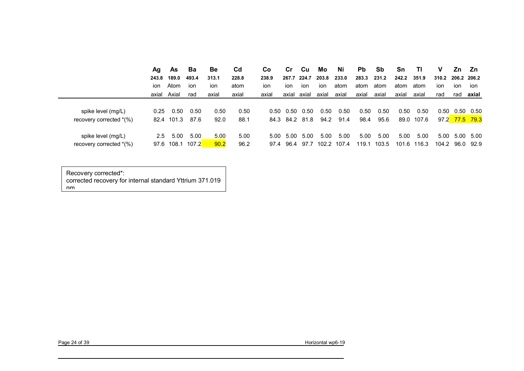|                                               | Ag<br>ion     | As<br>243.8 189.0<br>Atom | Ba<br>493.4<br>ion | <b>Be</b><br>313.1<br>ion | Cd<br>228.8<br>atom | Co<br>238.9<br>ion | <b>Cr</b><br>267.7<br>ion | -Cu<br>224.7<br>ion    | Mo<br>203.8<br>ion | Ni<br>233.0<br>atom | Pb.<br>283.3<br>atom | Sb<br>231.2<br>atom | Sn.<br>242.2<br>atom | TI.<br>351.9<br>atom | v<br>310.2 206.2 206.2<br>ion | Zn<br>ion    | Zn Z<br>ion                         |
|-----------------------------------------------|---------------|---------------------------|--------------------|---------------------------|---------------------|--------------------|---------------------------|------------------------|--------------------|---------------------|----------------------|---------------------|----------------------|----------------------|-------------------------------|--------------|-------------------------------------|
|                                               |               | axial Axial               | rad                | axial                     | axial               | axial              | axial                     | axial                  | axial              | axial               | axial                | axial               | axial                | axial                | rad                           | rad          | axial                               |
| spike level (mg/L)<br>recovery corrected *(%) | 0.25          | 0.50<br>82.4 101.3        | 0.50<br>87.6       | 0.50<br>92.0              | 0.50<br>88.1        | 0.50               | 0.50                      | 0.50<br>84.3 84.2 81.8 | 0.50<br>94.2       | 0.50<br>91.4        | 0.50<br>98.4         | 0.50<br>95.6        | 0.50                 | 0.50<br>89.0 107.6   | 0.50                          |              | $0.50 \quad 0.50$<br>97.2 77.5 79.3 |
| spike level (mg/L)<br>recovery corrected *(%) | $2.5^{\circ}$ | 5.00<br>97.6 108.1        | 5.00<br>107.2      | 5.00<br>90.2              | 5.00<br>96.2        |                    | 5.00 5.00<br>97.4 96.4    | 5.00<br>97.7           | 5.00<br>102.2      | 5.00<br>107.4       | 5.00<br>119.1        | 5.00<br>103.5       | 5.00                 | 5.00<br>101.6 116.3  | 5.00<br>104.2                 | 5.00<br>96.0 | 5.00<br>92.9                        |

| Recovery corrected*:                                     |
|----------------------------------------------------------|
| corrected recovery for internal standard Yttrium 371.019 |
| nm                                                       |

Page 24 of 39 Horizontal wp6-19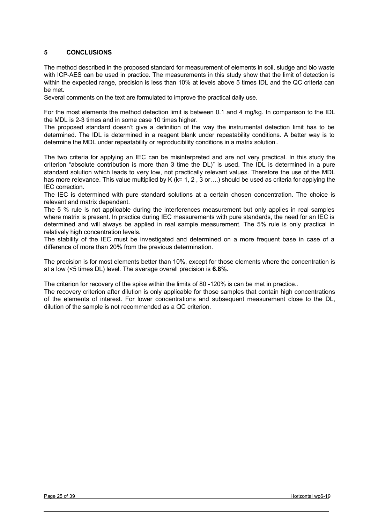# **5 CONCLUSIONS**

The method described in the proposed standard for measurement of elements in soil, sludge and bio waste with ICP-AES can be used in practice. The measurements in this study show that the limit of detection is within the expected range, precision is less than 10% at levels above 5 times IDL and the QC criteria can be met.

Several comments on the text are formulated to improve the practical daily use.

For the most elements the method detection limit is between 0.1 and 4 mg/kg. In comparison to the IDL the MDL is 2-3 times and in some case 10 times higher.

The proposed standard doesn't give a definition of the way the instrumental detection limit has to be determined. The IDL is determined in a reagent blank under repeatability conditions. A better way is to determine the MDL under repeatability or reproducibility conditions in a matrix solution..

The two criteria for applying an IEC can be misinterpreted and are not very practical. In this study the criterion "absolute contribution is more than 3 time the DL)" is used. The IDL is determined in a pure standard solution which leads to very low, not practically relevant values. Therefore the use of the MDL has more relevance. This value multiplied by K (k= 1, 2, 3 or...) should be used as criteria for applying the IEC correction.

The IEC is determined with pure standard solutions at a certain chosen concentration. The choice is relevant and matrix dependent.

The 5 % rule is not applicable during the interferences measurement but only applies in real samples where matrix is present. In practice during IEC measurements with pure standards, the need for an IEC is determined and will always be applied in real sample measurement. The 5% rule is only practical in relatively high concentration levels.

The stability of the IEC must be investigated and determined on a more frequent base in case of a difference of more than 20% from the previous determination.

The precision is for most elements better than 10%, except for those elements where the concentration is at a low (<5 times DL) level. The average overall precision is **6.8%.** 

The criterion for recovery of the spike within the limits of 80 -120% is can be met in practice..

The recovery criterion after dilution is only applicable for those samples that contain high concentrations of the elements of interest. For lower concentrations and subsequent measurement close to the DL, dilution of the sample is not recommended as a QC criterion.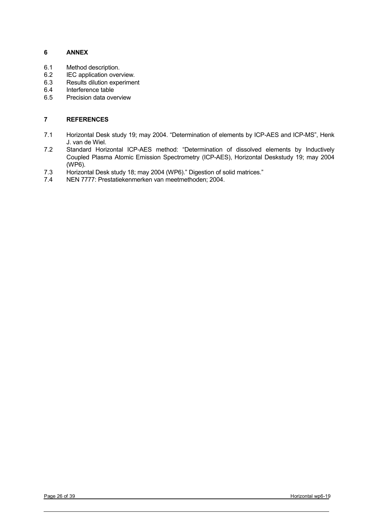# **6 ANNEX**

- 6.1 Method description.<br>6.2 IEC application over
- IEC application overview.
- 6.3 Results dilution experiment<br>6.4 Interference table
- 6.4 Interference table<br>6.5 Precision data ove
- Precision data overview

# **7 REFERENCES**

- 7.1 Horizontal Desk study 19; may 2004. "Determination of elements by ICP-AES and ICP-MS", Henk J. van de Wiel.
- 7.2 Standard Horizontal ICP-AES method: "Determination of dissolved elements by Inductively Coupled Plasma Atomic Emission Spectrometry (ICP-AES), Horizontal Deskstudy 19; may 2004 (WP6).
- 7.3 Horizontal Desk study 18; may 2004 (WP6)." Digestion of solid matrices."<br>7.4 NEN 7777: Prestatiekenmerken van meetmethoden: 2004.
- 7.4 NEN 7777: Prestatiekenmerken van meetmethoden; 2004.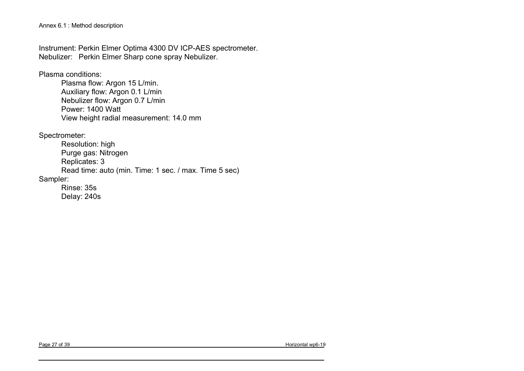Annex 6.1 : Method description

Instrument: Perkin Elmer Optima 4300 DV ICP-AES spectrometer. Nebulizer: Perkin Elmer Sharp cone spray Nebulizer.

Plasma conditions:

Plasma flow: Argon 15 L/min. Auxiliary flow: Argon 0.1 L/min Nebulizer flow: Argon 0.7 L/min Power: 1400 Watt View height radial measurement: 14.0 mm

Spectrometer:

Resolution: high Purge gas: Nitrogen Replicates: 3 Read time: auto (min. Time: 1 sec. / max. Time 5 sec) Sampler: Rinse: 35s Delay: 240s

Page 27 of 39 Horizontal wp6-19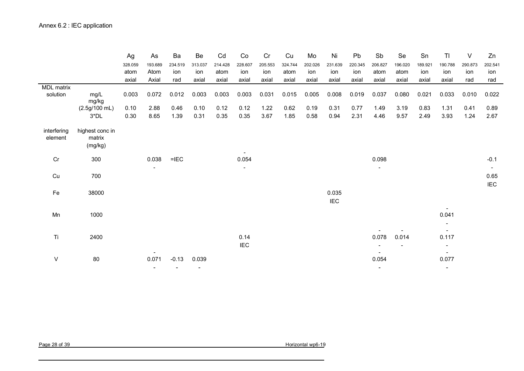|                        |                                      | Ag      | As                                | Ba                        | Be                      | Cd      | Co                                | Cr      | Cu      | Mo      | Ni         | Pb      | Sb                                | Se      | Sn      | TI                                                            | v       | Zn                     |
|------------------------|--------------------------------------|---------|-----------------------------------|---------------------------|-------------------------|---------|-----------------------------------|---------|---------|---------|------------|---------|-----------------------------------|---------|---------|---------------------------------------------------------------|---------|------------------------|
|                        |                                      | 328.059 | 193.689                           | 234.519                   | 313.037                 | 214.428 | 228.607                           | 205.553 | 324.744 | 202.026 | 231.639    | 220.345 | 206.827                           | 196.020 | 189.921 | 190.788                                                       | 290.873 | 202.541                |
|                        |                                      | atom    | Atom                              | ion                       | ion                     | atom    | ion                               | ion     | atom    | ion     | ion        | ion     | atom                              | atom    | ion     | ion                                                           | ion     | ion                    |
|                        |                                      | axial   | Axial                             | rad                       | axial                   | axial   | axial                             | axial   | axial   | axial   | axial      | axial   | axial                             | axial   | axial   | axial                                                         | rad     | rad                    |
| MDL matrix<br>solution | mg/L<br>mg/kg                        | 0.003   | 0.072                             | 0.012                     | 0.003                   | 0.003   | 0.003                             | 0.031   | 0.015   | 0.005   | 0.008      | 0.019   | 0.037                             | 0.080   | 0.021   | 0.033                                                         | 0.010   | 0.022                  |
|                        | $(2.5g/100$ mL)                      | 0.10    | 2.88                              | 0.46                      | 0.10                    | 0.12    | 0.12                              | 1.22    | 0.62    | 0.19    | 0.31       | 0.77    | 1.49                              | 3.19    | 0.83    | 1.31                                                          | 0.41    | 0.89                   |
|                        | $3*DL$                               | 0.30    | 8.65                              | 1.39                      | 0.31                    | 0.35    | 0.35                              | 3.67    | 1.85    | 0.58    | 0.94       | 2.31    | 4.46                              | 9.57    | 2.49    | 3.93                                                          | 1.24    | 2.67                   |
| interfering<br>element | highest conc in<br>matrix<br>(mg/kg) |         |                                   |                           |                         |         | $\overline{\phantom{a}}$          |         |         |         |            |         |                                   |         |         |                                                               |         |                        |
| Cr                     | 300                                  |         | 0.038<br>$\overline{\phantom{a}}$ | $=$ IEC                   |                         |         | 0.054<br>$\overline{\phantom{a}}$ |         |         |         |            |         | 0.098<br>$\overline{\phantom{a}}$ |         |         |                                                               |         | $-0.1$                 |
| Cu                     | 700                                  |         |                                   |                           |                         |         |                                   |         |         |         |            |         |                                   |         |         |                                                               |         | 0.65<br>$\mathsf{IEC}$ |
| Fe                     | 38000                                |         |                                   |                           |                         |         |                                   |         |         |         | 0.035      |         |                                   |         |         |                                                               |         |                        |
|                        |                                      |         |                                   |                           |                         |         |                                   |         |         |         | <b>IEC</b> |         |                                   |         |         |                                                               |         |                        |
| Mn                     | 1000                                 |         |                                   |                           |                         |         |                                   |         |         |         |            |         |                                   |         |         | 0.041<br>$\overline{\phantom{a}}$                             |         |                        |
| Ti                     | 2400                                 |         |                                   |                           |                         |         | 0.14<br><b>IEC</b>                |         |         |         |            |         | 0.078                             | 0.014   |         | $\overline{\phantom{0}}$<br>0.117<br>$\overline{\phantom{a}}$ |         |                        |
| $\vee$                 | 80                                   |         | 0.071<br>$\sim$                   | $-0.13$<br>$\blacksquare$ | 0.039<br>$\blacksquare$ |         |                                   |         |         |         |            |         | 0.054<br>$\blacksquare$           |         |         | $\overline{\phantom{a}}$<br>0.077<br>$\blacksquare$           |         |                        |

Page 28 of 39 Horizontal wp6-19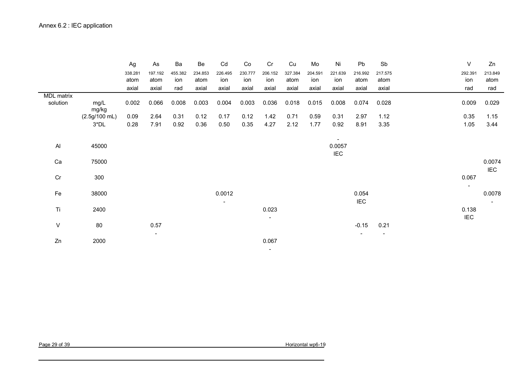|                        |                 | Ag      | As                               | Ba      | Be      | Cd                                 | Co      | Cr                                | Cu      | Mo      | Ni                   | Pb                  | Sb      | V                   | Zn                                 |
|------------------------|-----------------|---------|----------------------------------|---------|---------|------------------------------------|---------|-----------------------------------|---------|---------|----------------------|---------------------|---------|---------------------|------------------------------------|
|                        |                 | 338.281 | 197.192                          | 455.382 | 234.853 | 226.495                            | 230.777 | 206.152                           | 327.384 | 204.591 | 221.639              | 216.992             | 217.575 | 292.391             | 213.849                            |
|                        |                 | atom    | atom                             | ion     | atom    | ion                                | ion     | ion                               | atom    | ion     | ion                  | atom                | atom    | ion                 | atom                               |
|                        |                 | axial   | axial                            | rad     | axial   | axial                              | axial   | axial                             | axial   | axial   | axial                | axial               | axial   | rad                 | rad                                |
| MDL matrix<br>solution | mg/L<br>mg/kg   | 0.002   | 0.066                            | 0.008   | 0.003   | 0.004                              | 0.003   | 0.036                             | 0.018   | 0.015   | 0.008                | 0.074               | 0.028   | 0.009               | 0.029                              |
|                        | $(2.5g/100$ mL) | 0.09    | 2.64                             | 0.31    | 0.12    | 0.17                               | 0.12    | 1.42                              | 0.71    | 0.59    | 0.31                 | 2.97                | 1.12    | 0.35                | 1.15                               |
|                        | $3*DL$          | 0.28    | 7.91                             | 0.92    | 0.36    | 0.50                               | 0.35    | 4.27                              | 2.12    | 1.77    | 0.92                 | 8.91                | 3.35    | 1.05                | 3.44                               |
| Al<br>Ca               | 45000<br>75000  |         |                                  |         |         |                                    |         |                                   |         |         | 0.0057<br><b>IEC</b> |                     |         |                     | 0.0074                             |
|                        |                 |         |                                  |         |         |                                    |         |                                   |         |         |                      |                     |         |                     | <b>IEC</b>                         |
| Cr                     | 300             |         |                                  |         |         |                                    |         |                                   |         |         |                      |                     |         | 0.067               |                                    |
| Fe                     | 38000           |         |                                  |         |         | 0.0012<br>$\overline{\phantom{a}}$ |         |                                   |         |         |                      | 0.054<br><b>IEC</b> |         |                     | 0.0078<br>$\overline{\phantom{a}}$ |
| Ti                     | 2400            |         |                                  |         |         |                                    |         | 0.023<br>$\overline{\phantom{a}}$ |         |         |                      |                     |         | 0.138<br><b>IEC</b> |                                    |
| V                      | 80              |         | 0.57<br>$\overline{\phantom{a}}$ |         |         |                                    |         |                                   |         |         |                      | $-0.15$             | 0.21    |                     |                                    |
| Zn                     | 2000            |         |                                  |         |         |                                    |         | 0.067<br>$\sim$                   |         |         |                      |                     |         |                     |                                    |

Page 29 of 39 Horizontal wp6-19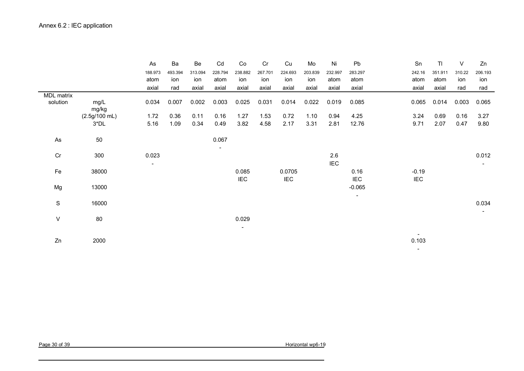|              |                 | As                       | Ba      | Be      | Cd                       | Co                       | Cr      | Cu         | Mo      | Ni         | Pb                       | Sn         | T <sub>l</sub> | V      | Zn      |
|--------------|-----------------|--------------------------|---------|---------|--------------------------|--------------------------|---------|------------|---------|------------|--------------------------|------------|----------------|--------|---------|
|              |                 | 188.973                  | 493.394 | 313.094 | 228.794                  | 238.882                  | 267.701 | 224.693    | 203.839 | 232.997    | 283.297                  | 242.16     | 351.911        | 310.22 | 206.193 |
|              |                 | atom                     | ion     | ion     | atom                     | ion                      | ion     | ion        | ion     | atom       | atom                     | atom       | atom           | ion    | ion     |
|              |                 | axial                    | rad     | axial   | axial                    | axial                    | axial   | axial      | axial   | axial      | axial                    | axial      | axial          | rad    | rad     |
| MDL matrix   |                 |                          |         |         |                          |                          |         |            |         |            |                          |            |                |        |         |
| solution     | mg/L            | 0.034                    | 0.007   | 0.002   | 0.003                    | 0.025                    | 0.031   | 0.014      | 0.022   | 0.019      | 0.085                    | 0.065      | 0.014          | 0.003  | 0.065   |
|              | mg/kg           |                          |         |         |                          |                          |         |            |         |            |                          |            |                |        |         |
|              | $(2.5g/100$ mL) | 1.72                     | 0.36    | 0.11    | 0.16                     | 1.27                     | 1.53    | 0.72       | 1.10    | 0.94       | 4.25                     | 3.24       | 0.69           | 0.16   | 3.27    |
|              | $3*DL$          | 5.16                     | 1.09    | 0.34    | 0.49                     | 3.82                     | 4.58    | 2.17       | 3.31    | 2.81       | 12.76                    | 9.71       | 2.07           | 0.47   | 9.80    |
| As           | 50              |                          |         |         | 0.067                    |                          |         |            |         |            |                          |            |                |        |         |
|              |                 |                          |         |         | $\overline{\phantom{a}}$ |                          |         |            |         |            |                          |            |                |        |         |
| Cr           | 300             | 0.023                    |         |         |                          |                          |         |            |         | 2.6        |                          |            |                |        | 0.012   |
|              |                 | $\overline{\phantom{a}}$ |         |         |                          |                          |         |            |         | <b>IEC</b> |                          |            |                |        |         |
| Fe           | 38000           |                          |         |         |                          | 0.085                    |         | 0.0705     |         |            | 0.16                     | $-0.19$    |                |        |         |
|              |                 |                          |         |         |                          | IEC                      |         | <b>IEC</b> |         |            | <b>IEC</b>               | <b>IEC</b> |                |        |         |
| Mg           | 13000           |                          |         |         |                          |                          |         |            |         |            | $-0.065$                 |            |                |        |         |
|              |                 |                          |         |         |                          |                          |         |            |         |            | $\overline{\phantom{a}}$ |            |                |        |         |
| S            | 16000           |                          |         |         |                          |                          |         |            |         |            |                          |            |                |        | 0.034   |
|              |                 |                          |         |         |                          |                          |         |            |         |            |                          |            |                |        |         |
| $\mathsf{V}$ | 80              |                          |         |         |                          | 0.029                    |         |            |         |            |                          |            |                |        |         |
|              |                 |                          |         |         |                          | $\overline{\phantom{a}}$ |         |            |         |            |                          |            |                |        |         |
|              |                 |                          |         |         |                          |                          |         |            |         |            |                          |            |                |        |         |
| Zn           | 2000            |                          |         |         |                          |                          |         |            |         |            |                          | 0.103      |                |        |         |
|              |                 |                          |         |         |                          |                          |         |            |         |            |                          |            |                |        |         |

Page 30 of 39 Horizontal wp6-19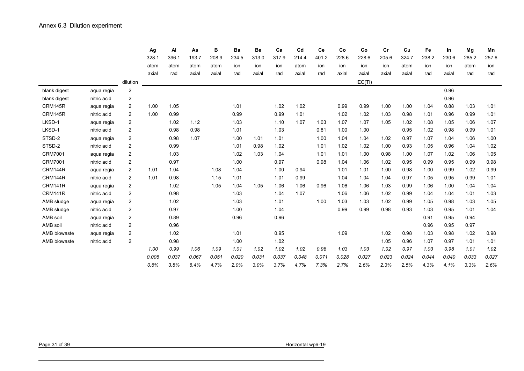|                |             |                | Ag    | Al    | As    | в     | Ba    | Be    | Ca    | Cd    | Ce    | Co    | Co      | Cr    | Cu    | Fe    | <b>In</b> | Mg    | Mn    |
|----------------|-------------|----------------|-------|-------|-------|-------|-------|-------|-------|-------|-------|-------|---------|-------|-------|-------|-----------|-------|-------|
|                |             |                | 328.1 | 396.1 | 193.7 | 208.9 | 234.5 | 313.0 | 317.9 | 214.4 | 401.2 | 228.6 | 228.6   | 205.6 | 324.7 | 238.2 | 230.6     | 285.2 | 257.6 |
|                |             |                | atom  | atom  | atom  | atom  | ion   | ion   | ion   | atom  | ion   | ion   | ion     | ion   | atom  | ion   | ion       | atom  | ion   |
|                |             |                | axial | rad   | axial | axial | rad   | axial | rad   | axial | rad   | axial | axial   | axial | axial | rad   | axial     | rad   | rad   |
|                |             | dilution       |       |       |       |       |       |       |       |       |       |       | IEC(Ti) |       |       |       |           |       |       |
| blank digest   | aqua regia  | $\overline{c}$ |       |       |       |       |       |       |       |       |       |       |         |       |       |       | 0.96      |       |       |
| blank digest   | nitric acid | $\overline{2}$ |       |       |       |       |       |       |       |       |       |       |         |       |       |       | 0.96      |       |       |
| CRM145R        | aqua regia  | 2              | 1.00  | 1.05  |       |       | 1.01  |       | 1.02  | 1.02  |       | 0.99  | 0.99    | 1.00  | 1.00  | 1.04  | 0.88      | 1.03  | 1.01  |
| CRM145R        | nitric acid | $\overline{2}$ | 1.00  | 0.99  |       |       | 0.99  |       | 0.99  | 1.01  |       | 1.02  | 1.02    | 1.03  | 0.98  | 1.01  | 0.96      | 0.99  | 1.01  |
| LKSD-1         | aqua regia  | $\overline{c}$ |       | 1.02  | 1.12  |       | 1.03  |       | 1.10  | 1.07  | 1.03  | 1.07  | 1.07    | 1.05  | 1.02  | 1.08  | 1.05      | 1.06  | 1.07  |
| LKSD-1         | nitric acid | $\overline{2}$ |       | 0.98  | 0.98  |       | 1.01  |       | 1.03  |       | 0.81  | 1.00  | 1.00    |       | 0.95  | 1.02  | 0.98      | 0.99  | 1.01  |
| STSD-2         | aqua regia  | $\overline{c}$ |       | 0.98  | 1.07  |       | 1.00  | 1.01  | 1.01  |       | 1.00  | 1.04  | 1.04    | 1.02  | 0.97  | 1.07  | 1.04      | 1.06  | 1.00  |
| STSD-2         | nitric acid | $\overline{2}$ |       | 0.99  |       |       | 1.01  | 0.98  | 1.02  |       | 1.01  | 1.02  | 1.02    | 1.00  | 0.93  | 1.05  | 0.96      | 1.04  | 1.02  |
| <b>CRM7001</b> | aqua regia  | $\overline{2}$ |       | 1.03  |       |       | 1.02  | 1.03  | 1.04  |       | 1.01  | 1.01  | 1.00    | 0.98  | 1.00  | 1.07  | 1.02      | 1.06  | 1.05  |
| <b>CRM7001</b> | nitric acid | 2              |       | 0.97  |       |       | 1.00  |       | 0.97  |       | 0.98  | 1.04  | 1.06    | 1.02  | 0.95  | 0.99  | 0.95      | 0.99  | 0.98  |
| CRM144R        | aqua regia  | $\overline{2}$ | 1.01  | 1.04  |       | 1.08  | 1.04  |       | 1.00  | 0.94  |       | 1.01  | 1.01    | 1.00  | 0.98  | 1.00  | 0.99      | 1.02  | 0.99  |
| CRM144R        | nitric acid | $\overline{2}$ | 1.01  | 0.98  |       | 1.15  | 1.01  |       | 1.01  | 0.99  |       | 1.04  | 1.04    | 1.04  | 0.97  | 1.05  | 0.95      | 0.99  | 1.01  |
| CRM141R        | agua regia  | $\overline{2}$ |       | 1.02  |       | 1.05  | 1.04  | 1.05  | 1.06  | 1.06  | 0.96  | 1.06  | 1.06    | 1.03  | 0.99  | 1.06  | 1.00      | 1.04  | 1.04  |
| CRM141R        | nitric acid | $\overline{c}$ |       | 0.98  |       |       | 1.03  |       | 1.04  | 1.07  |       | 1.06  | 1.06    | 1.02  | 0.99  | 1.04  | 1.04      | 1.01  | 1.03  |
| AMB sludge     | aqua regia  | $\overline{2}$ |       | 1.02  |       |       | 1.03  |       | 1.01  |       | 1.00  | 1.03  | 1.03    | 1.02  | 0.99  | 1.05  | 0.98      | 1.03  | 1.05  |
| AMB sludge     | nitric acid | $\overline{c}$ |       | 0.97  |       |       | 1.00  |       | 1.04  |       |       | 0.99  | 0.99    | 0.98  | 0.93  | 1.03  | 0.95      | 1.01  | 1.04  |
| AMB soil       | aqua regia  | $\overline{c}$ |       | 0.89  |       |       | 0.96  |       | 0.96  |       |       |       |         |       |       | 0.91  | 0.95      | 0.94  |       |
| AMB soil       | nitric acid | $\overline{c}$ |       | 0.96  |       |       |       |       |       |       |       |       |         |       |       | 0.96  | 0.95      | 0.97  |       |
| AMB biowaste   | aqua regia  | $\overline{c}$ |       | 1.02  |       |       | 1.01  |       | 0.95  |       |       | 1.09  |         | 1.02  | 0.98  | 1.03  | 0.98      | 1.02  | 0.98  |
| AMB biowaste   | nitric acid | 2              |       | 0.98  |       |       | 1.00  |       | 1.02  |       |       |       |         | 1.05  | 0.96  | 1.07  | 0.97      | 1.01  | 1.01  |
|                |             |                | 1.00  | 0.99  | 1.06  | 1.09  | 1.01  | 1.02  | 1.02  | 1.02  | 0.98  | 1.03  | 1.03    | 1.02  | 0.97  | 1.03  | 0.98      | 1.01  | 1.02  |
|                |             |                | 0.006 | 0.037 | 0.067 | 0.051 | 0.020 | 0.031 | 0.037 | 0.048 | 0.071 | 0.028 | 0.027   | 0.023 | 0.024 | 0.044 | 0.040     | 0.033 | 0.027 |
|                |             |                | 0.6%  | 3.8%  | 6.4%  | 4.7%  | 2.0%  | 3.0%  | 3.7%  | 4.7%  | 7.3%  | 2.7%  | 2.6%    | 2.3%  | 2.5%  | 4.3%  | 4.1%      | 3.3%  | 2.6%  |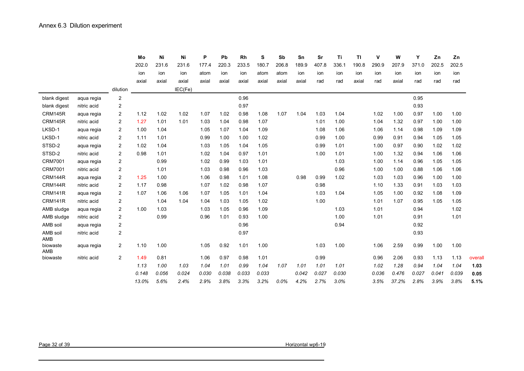|                 |             |                       | Mo    | Ni    | Ni      | P     | Pb    | <b>Rh</b> | s     | Sb      | Sn    | Sr    | Τi,   | ΤI    | v     | W     | Υ     | Zn    | Zn    |        |
|-----------------|-------------|-----------------------|-------|-------|---------|-------|-------|-----------|-------|---------|-------|-------|-------|-------|-------|-------|-------|-------|-------|--------|
|                 |             |                       | 202.0 | 231.6 | 231.6   | 177.4 | 220.3 | 233.5     | 180.7 | 206.8   | 189.9 | 407.8 | 336.1 | 190.8 | 290.9 | 207.9 | 371.0 | 202.5 | 202.5 |        |
|                 |             |                       | ion   | ion   | ion     | atom  | ion   | ion       | atom  | atom    | ion   | ion   | ion   | ion   | ion   | ion   | ion   | ion   | ion   |        |
|                 |             |                       | axial | axial | axial   | axial | axial | axial     | axial | axial   | axial | rad   | rad   | axial | rad   | axial | rad   | rad   | rad   |        |
|                 |             | dilution              |       |       | IEC(Fe) |       |       |           |       |         |       |       |       |       |       |       |       |       |       |        |
| blank digest    | aqua regia  | 2                     |       |       |         |       |       | 0.96      |       |         |       |       |       |       |       |       | 0.95  |       |       |        |
| blank digest    | nitric acid | 2                     |       |       |         |       |       | 0.97      |       |         |       |       |       |       |       |       | 0.93  |       |       |        |
| CRM145R         | aqua regia  | $\overline{2}$        | 1.12  | 1.02  | 1.02    | 1.07  | 1.02  | 0.98      | 1.08  | 1.07    | 1.04  | 1.03  | 1.04  |       | 1.02  | 1.00  | 0.97  | 1.00  | 1.00  |        |
| CRM145R         | nitric acid | 2                     | 1.27  | 1.01  | 1.01    | 1.03  | 1.04  | 0.98      | 1.07  |         |       | 1.01  | 1.00  |       | 1.04  | 1.32  | 0.97  | 1.00  | 1.00  |        |
| LKSD-1          | aqua regia  | $\overline{2}$        | 1.00  | 1.04  |         | 1.05  | 1.07  | 1.04      | 1.09  |         |       | 1.08  | 1.06  |       | 1.06  | 1.14  | 0.98  | 1.09  | 1.09  |        |
| LKSD-1          | nitric acid | 2                     | 1.11  | 1.01  |         | 0.99  | 1.00  | 1.00      | 1.02  |         |       | 0.99  | 1.00  |       | 0.99  | 0.91  | 0.94  | 1.05  | 1.05  |        |
| STSD-2          | aqua regia  | $\overline{2}$        | 1.02  | 1.04  |         | 1.03  | 1.05  | 1.04      | 1.05  |         |       | 0.99  | 1.01  |       | 1.00  | 0.97  | 0.90  | 1.02  | 1.02  |        |
| STSD-2          | nitric acid | $\mathbf{2}$          | 0.98  | 1.01  |         | 1.02  | 1.04  | 0.97      | 1.01  |         |       | 1.00  | 1.01  |       | 1.00  | 1.32  | 0.94  | 1.06  | 1.06  |        |
| <b>CRM7001</b>  | aqua regia  | $\mathbf{2}^{\prime}$ |       | 0.99  |         | 1.02  | 0.99  | 1.03      | 1.01  |         |       |       | 1.03  |       | 1.00  | 1.14  | 0.96  | 1.05  | 1.05  |        |
| <b>CRM7001</b>  | nitric acid | 2                     |       | 1.01  |         | 1.03  | 0.98  | 0.96      | 1.03  |         |       |       | 0.96  |       | 1.00  | 1.00  | 0.88  | 1.06  | 1.06  |        |
| CRM144R         | aqua regia  | $\overline{2}$        | 1.25  | 1.00  |         | 1.06  | 0.98  | 1.01      | 1.08  |         | 0.98  | 0.99  | 1.02  |       | 1.03  | 1.03  | 0.96  | 1.00  | 1.00  |        |
| CRM144R         | nitric acid | $\overline{2}$        | 1.17  | 0.98  |         | 1.07  | 1.02  | 0.98      | 1.07  |         |       | 0.98  |       |       | 1.10  | 1.33  | 0.91  | 1.03  | 1.03  |        |
| CRM141R         | aqua regia  | $\overline{2}$        | 1.07  | 1.06  | 1.06    | 1.07  | 1.05  | 1.01      | 1.04  |         |       | 1.03  | 1.04  |       | 1.05  | 1.00  | 0.92  | 1.08  | 1.09  |        |
| CRM141R         | nitric acid | $\overline{2}$        |       | 1.04  | 1.04    | 1.04  | 1.03  | 1.05      | 1.02  |         |       | 1.00  |       |       | 1.01  | 1.07  | 0.95  | 1.05  | 1.05  |        |
| AMB sludge      | aqua regia  | $\overline{2}$        | 1.00  | 1.03  |         | 1.03  | 1.05  | 0.96      | 1.09  |         |       |       | 1.03  |       | 1.01  |       | 0.94  |       | 1.02  |        |
| AMB sludge      | nitric acid | $\mathbf{2}^{\prime}$ |       | 0.99  |         | 0.96  | 1.01  | 0.93      | 1.00  |         |       |       | 1.00  |       | 1.01  |       | 0.91  |       | 1.01  |        |
| AMB soil        | aqua regia  | 2                     |       |       |         |       |       | 0.96      |       |         |       |       | 0.94  |       |       |       | 0.92  |       |       |        |
| AMB soil<br>AMB | nitric acid | $\overline{2}$        |       |       |         |       |       | 0.97      |       |         |       |       |       |       |       |       | 0.93  |       |       |        |
| biowaste<br>AMB | aqua regia  | $\overline{2}$        | 1.10  | 1.00  |         | 1.05  | 0.92  | 1.01      | 1.00  |         |       | 1.03  | 1.00  |       | 1.06  | 2.59  | 0.99  | 1.00  | 1.00  |        |
| biowaste        | nitric acid | $\overline{2}$        | 1.49  | 0.81  |         | 1.06  | 0.97  | 0.98      | 1.01  |         |       | 0.99  |       |       | 0.96  | 2.06  | 0.93  | 1.13  | 1.13  | overal |
|                 |             |                       | 1.13  | 1.00  | 1.03    | 1.04  | 1.01  | 0.99      | 1.04  | 1.07    | 1.01  | 1.01  | 1.01  |       | 1.02  | 1.28  | 0.94  | 1.04  | 1.04  | 1.03   |
|                 |             |                       | 0.148 | 0.056 | 0.024   | 0.030 | 0.038 | 0.033     | 0.033 |         | 0.042 | 0.027 | 0.030 |       | 0.036 | 0.476 | 0.027 | 0.041 | 0.039 | 0.05   |
|                 |             |                       | 13.0% | 5.6%  | 2.4%    | 2.9%  | 3.8%  | 3.3%      | 3.2%  | $0.0\%$ | 4.2%  | 2.7%  | 3.0%  |       | 3.5%  | 37.2% | 2.8%  | 3.9%  | 3.8%  | 5.1%   |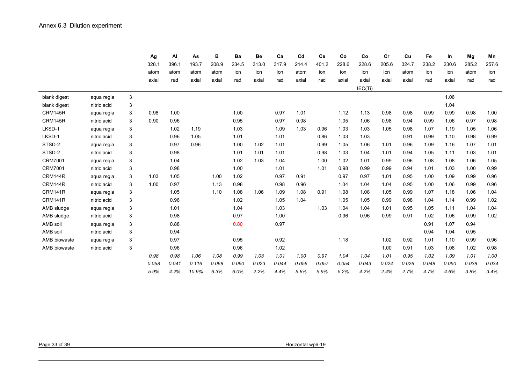|                |             |   | Ag    | Al    | As    | в     | Ba    | Be    | Ca    | Cd    | Ce    | Co    | Co      | cr    | Cu    | Fe    | In    | Mg    | Mn    |
|----------------|-------------|---|-------|-------|-------|-------|-------|-------|-------|-------|-------|-------|---------|-------|-------|-------|-------|-------|-------|
|                |             |   | 328.1 | 396.1 | 193.7 | 208.9 | 234.5 | 313.0 | 317.9 | 214.4 | 401.2 | 228.6 | 228.6   | 205.6 | 324.7 | 238.2 | 230.6 | 285.2 | 257.6 |
|                |             |   | atom  | atom  | atom  | atom  | ion   | ion   | ion   | atom  | ion   | ion   | ion     | ion   | atom  | ion   | ion   | atom  | ion   |
|                |             |   | axial | rad   | axial | axial | rad   | axial | rad   | axial | rad   | axial | axial   | axial | axial | rad   | axial | rad   | rad   |
|                |             |   |       |       |       |       |       |       |       |       |       |       | IEC(Ti) |       |       |       |       |       |       |
| blank digest   | aqua regia  | 3 |       |       |       |       |       |       |       |       |       |       |         |       |       |       | 1.06  |       |       |
| blank digest   | nitric acid | 3 |       |       |       |       |       |       |       |       |       |       |         |       |       |       | 1.04  |       |       |
| CRM145R        | aqua regia  | 3 | 0.98  | 1.00  |       |       | 1.00  |       | 0.97  | 1.01  |       | 1.12  | 1.13    | 0.98  | 0.98  | 0.99  | 0.99  | 0.98  | 1.00  |
| CRM145R        | nitric acid | 3 | 0.90  | 0.96  |       |       | 0.95  |       | 0.97  | 0.98  |       | 1.05  | 1.06    | 0.98  | 0.94  | 0.99  | 1.06  | 0.97  | 0.98  |
| LKSD-1         | aqua regia  | 3 |       | 1.02  | 1.19  |       | 1.03  |       | 1.09  | 1.03  | 0.96  | 1.03  | 1.03    | 1.05  | 0.98  | 1.07  | 1.19  | 1.05  | 1.06  |
| LKSD-1         | nitric acid | 3 |       | 0.96  | 1.05  |       | 1.01  |       | 1.01  |       | 0.86  | 1.03  | 1.03    |       | 0.91  | 0.99  | 1.10  | 0.98  | 0.99  |
| STSD-2         | aqua regia  | 3 |       | 0.97  | 0.96  |       | 1.00  | 1.02  | 1.01  |       | 0.99  | 1.05  | 1.06    | 1.01  | 0.96  | 1.09  | 1.16  | 1.07  | 1.01  |
| STSD-2         | nitric acid | 3 |       | 0.98  |       |       | 1.01  | 1.01  | 1.01  |       | 0.98  | 1.03  | 1.04    | 1.01  | 0.94  | 1.05  | 1.11  | 1.03  | 1.01  |
| <b>CRM7001</b> | aqua regia  | 3 |       | 1.04  |       |       | 1.02  | 1.03  | 1.04  |       | 1.00  | 1.02  | 1.01    | 0.99  | 0.96  | 1.08  | 1.08  | 1.06  | 1.05  |
| <b>CRM7001</b> | nitric acid | 3 |       | 0.98  |       |       | 1.00  |       | 1.01  |       | 1.01  | 0.98  | 0.99    | 0.99  | 0.94  | 1.01  | 1.03  | 1.00  | 0.99  |
| CRM144R        | aqua regia  | 3 | 1.03  | 1.05  |       | 1.00  | 1.02  |       | 0.97  | 0.91  |       | 0.97  | 0.97    | 1.01  | 0.95  | 1.00  | 1.09  | 0.99  | 0.96  |
| CRM144R        | nitric acid | 3 | 1.00  | 0.97  |       | 1.13  | 0.98  |       | 0.98  | 0.96  |       | 1.04  | 1.04    | 1.04  | 0.95  | 1.00  | 1.06  | 0.99  | 0.96  |
| CRM141R        | aqua regia  | 3 |       | 1.05  |       | 1.10  | 1.08  | 1.06  | 1.09  | 1.08  | 0.91  | 1.08  | 1.08    | 1.05  | 0.99  | 1.07  | 1.18  | 1.06  | 1.04  |
| CRM141R        | nitric acid | 3 |       | 0.96  |       |       | 1.02  |       | 1.05  | 1.04  |       | 1.05  | 1.05    | 0.99  | 0.98  | 1.04  | 1.14  | 0.99  | 1.02  |
| AMB sludge     | aqua regia  | 3 |       | 1.01  |       |       | 1.04  |       | 1.03  |       | 1.03  | 1.04  | 1.04    | 1.01  | 0.95  | 1.05  | 1.11  | 1.04  | 1.04  |
| AMB sludge     | nitric acid | 3 |       | 0.98  |       |       | 0.97  |       | 1.00  |       |       | 0.96  | 0.96    | 0.99  | 0.91  | 1.02  | 1.06  | 0.99  | 1.02  |
| AMB soil       | aqua regia  | 3 |       | 0.88  |       |       | 0.80  |       | 0.97  |       |       |       |         |       |       | 0.91  | 1.07  | 0.94  |       |
| AMB soil       | nitric acid | 3 |       | 0.94  |       |       |       |       |       |       |       |       |         |       |       | 0.94  | 1.04  | 0.95  |       |
| AMB biowaste   | aqua regia  | 3 |       | 0.97  |       |       | 0.95  |       | 0.92  |       |       | 1.18  |         | 1.02  | 0.92  | 1.01  | 1.10  | 0.99  | 0.96  |
| AMB biowaste   | nitric acid | 3 |       | 0.96  |       |       | 0.96  |       | 1.02  |       |       |       |         | 1.00  | 0.91  | 1.03  | 1.08  | 1.02  | 0.98  |
|                |             |   | 0.98  | 0.98  | 1.06  | 1.08  | 0.99  | 1.03  | 1.01  | 1.00  | 0.97  | 1.04  | 1.04    | 1.01  | 0.95  | 1.02  | 1.09  | 1.01  | 1.00  |
|                |             |   | 0.058 | 0.041 | 0.116 | 0.068 | 0.060 | 0.023 | 0.044 | 0.056 | 0.057 | 0.054 | 0.043   | 0.024 | 0.026 | 0.048 | 0.050 | 0.038 | 0.034 |
|                |             |   | 5.9%  | 4.2%  | 10.9% | 6.3%  | 6.0%  | 2.2%  | 4.4%  | 5.6%  | 5.9%  | 5.2%  | 4.2%    | 2.4%  | 2.7%  | 4.7%  | 4.6%  | 3.8%  | 3.4%  |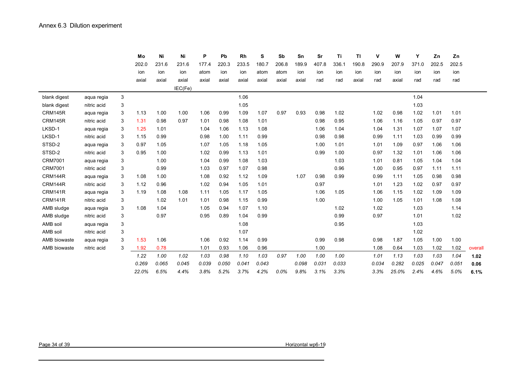|                |             |   | Mo    | Ni    | Ni      | P     | Pb    | Rh    | s     | Sb      | Sn    | Sr    | Τi    | ΤI    | v     | W     | Υ     | Zn    | Zn    |         |
|----------------|-------------|---|-------|-------|---------|-------|-------|-------|-------|---------|-------|-------|-------|-------|-------|-------|-------|-------|-------|---------|
|                |             |   | 202.0 | 231.6 | 231.6   | 177.4 | 220.3 | 233.5 | 180.7 | 206.8   | 189.9 | 407.8 | 336.1 | 190.8 | 290.9 | 207.9 | 371.0 | 202.5 | 202.5 |         |
|                |             |   | ion   | ion   | ion     | atom  | ion   | ion   | atom  | atom    | ion   | ion   | ion   | ion   | ion   | ion   | ion   | ion   | ion   |         |
|                |             |   | axial | axial | axial   | axial | axial | axial | axial | axial   | axial | rad   | rad   | axial | rad   | axial | rad   | rad   | rad   |         |
|                |             |   |       |       | IEC(Fe) |       |       |       |       |         |       |       |       |       |       |       |       |       |       |         |
| blank digest   | aqua regia  | 3 |       |       |         |       |       | 1.06  |       |         |       |       |       |       |       |       | 1.04  |       |       |         |
| blank digest   | nitric acid | 3 |       |       |         |       |       | 1.05  |       |         |       |       |       |       |       |       | 1.03  |       |       |         |
| CRM145R        | aqua regia  | 3 | 1.13  | 1.00  | 1.00    | 1.06  | 0.99  | 1.09  | 1.07  | 0.97    | 0.93  | 0.98  | 1.02  |       | 1.02  | 0.98  | 1.02  | 1.01  | 1.01  |         |
| CRM145R        | nitric acid | 3 | 1.31  | 0.98  | 0.97    | 1.01  | 0.98  | 1.08  | 1.01  |         |       | 0.98  | 0.95  |       | 1.06  | 1.16  | 1.05  | 0.97  | 0.97  |         |
| LKSD-1         | aqua regia  | 3 | 1.25  | 1.01  |         | 1.04  | 1.06  | 1.13  | 1.08  |         |       | 1.06  | 1.04  |       | 1.04  | 1.31  | 1.07  | 1.07  | 1.07  |         |
| LKSD-1         | nitric acid | 3 | 1.15  | 0.99  |         | 0.98  | 1.00  | 1.11  | 0.99  |         |       | 0.98  | 0.98  |       | 0.99  | 1.11  | 1.03  | 0.99  | 0.99  |         |
| STSD-2         | aqua regia  | 3 | 0.97  | 1.05  |         | 1.07  | 1.05  | 1.18  | 1.05  |         |       | 1.00  | 1.01  |       | 1.01  | 1.09  | 0.97  | 1.06  | 1.06  |         |
| STSD-2         | nitric acid | 3 | 0.95  | 1.00  |         | 1.02  | 0.99  | 1.13  | 1.01  |         |       | 0.99  | 1.00  |       | 0.97  | 1.32  | 1.01  | 1.06  | 1.06  |         |
| <b>CRM7001</b> | aqua regia  | 3 |       | 1.00  |         | 1.04  | 0.99  | 1.08  | 1.03  |         |       |       | 1.03  |       | 1.01  | 0.81  | 1.05  | 1.04  | 1.04  |         |
| <b>CRM7001</b> | nitric acid | 3 |       | 0.99  |         | 1.03  | 0.97  | 1.07  | 0.98  |         |       |       | 0.96  |       | 1.00  | 0.95  | 0.97  | 1.11  | 1.11  |         |
| CRM144R        | aqua regia  | 3 | 1.08  | 1.00  |         | 1.08  | 0.92  | 1.12  | 1.09  |         | 1.07  | 0.98  | 0.99  |       | 0.99  | 1.11  | 1.05  | 0.98  | 0.98  |         |
| CRM144R        | nitric acid | 3 | 1.12  | 0.96  |         | 1.02  | 0.94  | 1.05  | 1.01  |         |       | 0.97  |       |       | 1.01  | 1.23  | 1.02  | 0.97  | 0.97  |         |
| CRM141R        | aqua regia  | 3 | 1.19  | 1.08  | 1.08    | 1.11  | 1.05  | 1.17  | 1.05  |         |       | 1.06  | 1.05  |       | 1.06  | 1.15  | 1.02  | 1.09  | 1.09  |         |
| CRM141R        | nitric acid | 3 |       | 1.02  | 1.01    | 1.01  | 0.98  | 1.15  | 0.99  |         |       | 1.00  |       |       | 1.00  | 1.05  | 1.01  | 1.08  | 1.08  |         |
| AMB sludge     | aqua regia  | 3 | 1.08  | 1.04  |         | 1.05  | 0.94  | 1.07  | 1.10  |         |       |       | 1.02  |       | 1.02  |       | 1.03  |       | 1.14  |         |
| AMB sludge     | nitric acid | 3 |       | 0.97  |         | 0.95  | 0.89  | 1.04  | 0.99  |         |       |       | 0.99  |       | 0.97  |       | 1.01  |       | 1.02  |         |
| AMB soil       | aqua regia  | 3 |       |       |         |       |       | 1.08  |       |         |       |       | 0.95  |       |       |       | 1.03  |       |       |         |
| AMB soil       | nitric acid | 3 |       |       |         |       |       | 1.07  |       |         |       |       |       |       |       |       | 1.02  |       |       |         |
| AMB biowaste   | aqua regia  | 3 | 1.53  | 1.06  |         | 1.06  | 0.92  | 1.14  | 0.99  |         |       | 0.99  | 0.98  |       | 0.98  | 1.87  | 1.05  | 1.00  | 1.00  |         |
| AMB biowaste   | nitric acid | 3 | 1.92  | 0.78  |         | 1.01  | 0.93  | 1.06  | 0.96  |         |       | 1.00  |       |       | 1.08  | 0.64  | 1.03  | 1.02  | 1.02  | overall |
|                |             |   | 1.22  | 1.00  | 1.02    | 1.03  | 0.98  | 1.10  | 1.03  | 0.97    | 1.00  | 1.00  | 1.00  |       | 1.01  | 1.13  | 1.03  | 1.03  | 1.04  | 1.02    |
|                |             |   | 0.269 | 0.065 | 0.045   | 0.039 | 0.050 | 0.041 | 0.043 |         | 0.098 | 0.031 | 0.033 |       | 0.034 | 0.282 | 0.025 | 0.047 | 0.051 | 0.06    |
|                |             |   | 22.0% | 6.5%  | 4.4%    | 3.8%  | 5.2%  | 3.7%  | 4.2%  | $0.0\%$ | 9.8%  | 3.1%  | 3.3%  |       | 3.3%  | 25.0% | 2.4%  | 4.6%  | 5.0%  | 6.1%    |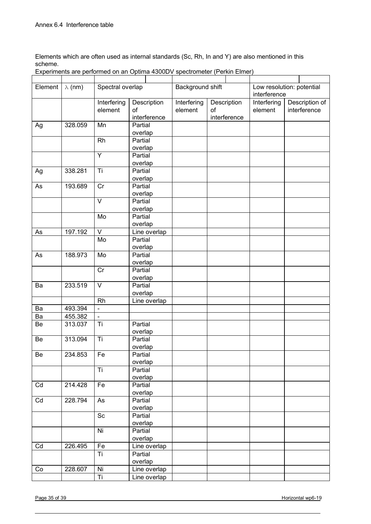Elements which are often used as internal standards (Sc, Rh, In and Y) are also mentioned in this scheme.

| Element | $\lambda$ (nm) | Spectral overlap  |              |         | Background shift |    |              |              | Low resolution: potential |
|---------|----------------|-------------------|--------------|---------|------------------|----|--------------|--------------|---------------------------|
|         |                |                   |              |         |                  |    |              | interference |                           |
|         |                | Interfering       | Description  |         | Interfering      |    | Description  | Interfering  | Description of            |
|         |                | element           | οf           |         | element          | of |              | element      | interference              |
|         |                |                   | interference |         |                  |    | interference |              |                           |
| Ag      | 328.059        | Mn                | Partial      |         |                  |    |              |              |                           |
|         |                |                   | overlap      |         |                  |    |              |              |                           |
|         |                | Rh                | Partial      |         |                  |    |              |              |                           |
|         |                |                   | overlap      |         |                  |    |              |              |                           |
|         |                | Y                 | Partial      |         |                  |    |              |              |                           |
|         |                |                   | overlap      |         |                  |    |              |              |                           |
| Ag      | 338.281        | Ti                |              | Partial |                  |    |              |              |                           |
|         |                |                   |              | overlap |                  |    |              |              |                           |
| As      | 193.689        | Cr                | Partial      |         |                  |    |              |              |                           |
|         |                |                   |              | overlap |                  |    |              |              |                           |
|         |                | $\vee$            |              | Partial |                  |    |              |              |                           |
|         |                |                   |              | overlap |                  |    |              |              |                           |
|         |                | Mo                |              | Partial |                  |    |              |              |                           |
|         |                |                   | overlap      |         |                  |    |              |              |                           |
| As      | 197.192        | $\overline{\vee}$ | Line overlap |         |                  |    |              |              |                           |
|         |                | Mo                |              | Partial |                  |    |              |              |                           |
|         |                |                   |              | overlap |                  |    |              |              |                           |
| As      | 188.973        | Mo                |              | Partial |                  |    |              |              |                           |
|         |                |                   |              | overlap |                  |    |              |              |                           |
|         |                | Cr                |              | Partial |                  |    |              |              |                           |
|         |                |                   | overlap      |         |                  |    |              |              |                           |
| Ba      | 233.519        | V                 | Partial      |         |                  |    |              |              |                           |
|         |                | Rh                | overlap      |         |                  |    |              |              |                           |
| Ba      | 493.394        | $\blacksquare$    | Line overlap |         |                  |    |              |              |                           |
| Ba      | 455.382        | $\blacksquare$    |              |         |                  |    |              |              |                           |
| Be      | 313.037        | Ti                | Partial      |         |                  |    |              |              |                           |
|         |                |                   | overlap      |         |                  |    |              |              |                           |
| Be      | 313.094        | Ti                | Partial      |         |                  |    |              |              |                           |
|         |                |                   | overlap      |         |                  |    |              |              |                           |
| Be      | 234.853        | Fe                | Partial      |         |                  |    |              |              |                           |
|         |                |                   | overlap      |         |                  |    |              |              |                           |
|         |                | Ti                | Partial      |         |                  |    |              |              |                           |
|         |                |                   | overlap      |         |                  |    |              |              |                           |
| Cd      | 214.428        | Fe                | Partial      |         |                  |    |              |              |                           |
|         |                |                   | overlap      |         |                  |    |              |              |                           |
| Cd      | 228.794        | As                | Partial      |         |                  |    |              |              |                           |
|         |                |                   | overlap      |         |                  |    |              |              |                           |
|         |                | Sc                | Partial      |         |                  |    |              |              |                           |
|         |                |                   | overlap      |         |                  |    |              |              |                           |
|         |                | Ni                | Partial      |         |                  |    |              |              |                           |
|         |                |                   | overlap      |         |                  |    |              |              |                           |
| Cd      | 226.495        | Fe                | Line overlap |         |                  |    |              |              |                           |
|         |                | Ti                | Partial      |         |                  |    |              |              |                           |
|         |                |                   | overlap      |         |                  |    |              |              |                           |
| Co      | 228.607        | Ni                | Line overlap |         |                  |    |              |              |                           |
|         |                | Ti                | Line overlap |         |                  |    |              |              |                           |

|  |  |  | Experiments are performed on an Optima 4300DV spectrometer (Perkin Elmer) |  |  |
|--|--|--|---------------------------------------------------------------------------|--|--|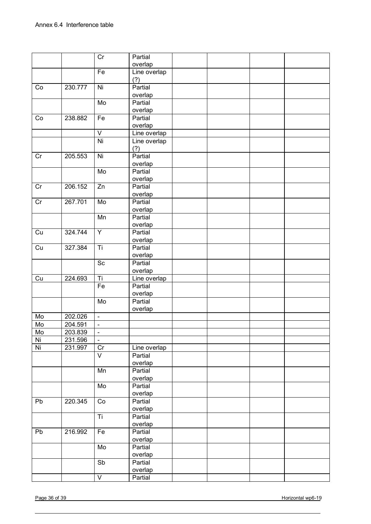|                           |         | Cr                     | Partial             |  |  |
|---------------------------|---------|------------------------|---------------------|--|--|
|                           |         |                        | overlap             |  |  |
|                           |         | Fe                     | Line overlap<br>(?) |  |  |
| Co                        | 230.777 | $\overline{Ni}$        | Partial             |  |  |
|                           |         |                        | overlap             |  |  |
|                           |         | Mo                     | Partial             |  |  |
|                           |         |                        | overlap             |  |  |
| Co                        | 238.882 | Fe                     | Partial             |  |  |
|                           |         |                        | overlap             |  |  |
|                           |         | $\overline{\vee}$      | Line overlap        |  |  |
|                           |         | Ni                     | Line overlap        |  |  |
|                           |         |                        | (?)                 |  |  |
| Cr                        | 205.553 | Ni                     | Partial             |  |  |
|                           |         |                        |                     |  |  |
|                           |         |                        | overlap             |  |  |
|                           |         | Mo                     | Partial             |  |  |
|                           |         |                        | overlap             |  |  |
| Cr                        | 206.152 | Zn                     | Partial             |  |  |
|                           |         |                        | overlap             |  |  |
| Cr                        | 267.701 | Mo                     | Partial             |  |  |
|                           |         |                        | overlap             |  |  |
|                           |         | Mn                     | Partial             |  |  |
|                           |         |                        | overlap             |  |  |
| Cu                        | 324.744 | Y                      | Partial             |  |  |
|                           |         |                        | overlap             |  |  |
| Cu                        | 327.384 | Ti                     | Partial             |  |  |
|                           |         |                        | overlap             |  |  |
|                           |         | $\overline{\text{Sc}}$ | Partial             |  |  |
|                           |         |                        | overlap             |  |  |
| Cu                        | 224.693 | Ti                     | Line overlap        |  |  |
|                           |         | Fe                     | Partial             |  |  |
|                           |         |                        | overlap             |  |  |
|                           |         | Mo                     | Partial             |  |  |
|                           |         |                        | overlap             |  |  |
| Mo                        | 202.026 | $\blacksquare$         |                     |  |  |
| Mo                        | 204.591 | $\blacksquare$         |                     |  |  |
| Mo                        | 203.839 | $\blacksquare$         |                     |  |  |
| <u>Ni</u>                 | 231.596 | $\blacksquare$         |                     |  |  |
| $\overline{\mathsf{N}}$ i | 231.997 | Cr                     | Line overlap        |  |  |
|                           |         | $\overline{\vee}$      | Partial             |  |  |
|                           |         |                        | overlap             |  |  |
|                           |         | Mn                     | Partial             |  |  |
|                           |         |                        | overlap             |  |  |
|                           |         | Mo                     | Partial             |  |  |
|                           |         |                        | overlap             |  |  |
| Pb                        | 220.345 | Co                     | Partial             |  |  |
|                           |         |                        |                     |  |  |
|                           |         |                        | overlap             |  |  |
|                           |         | Ti                     | Partial             |  |  |
|                           |         |                        | overlap             |  |  |
| Pb                        | 216.992 | Fe                     | Partial             |  |  |
|                           |         |                        | overlap             |  |  |
|                           |         | Mo                     | Partial             |  |  |
|                           |         |                        | overlap             |  |  |
|                           |         | Sb                     | Partial             |  |  |
|                           |         |                        | overlap             |  |  |
|                           |         | $\overline{\vee}$      | Partial             |  |  |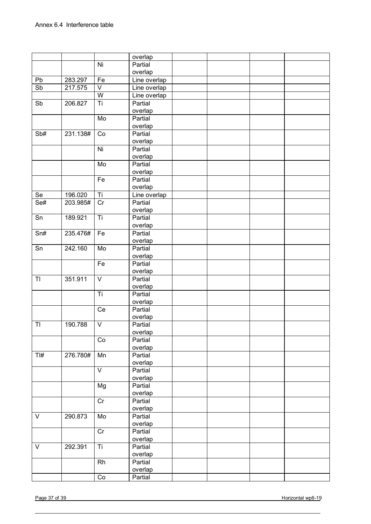|                |          |                         | overlap      |  |  |
|----------------|----------|-------------------------|--------------|--|--|
|                |          | Ni                      | Partial      |  |  |
|                |          |                         | overlap      |  |  |
| Pb             | 283.297  | Fe                      | Line overlap |  |  |
| Sb             | 217.575  | $\vee$                  | Line overlap |  |  |
|                |          | $\overline{\mathsf{W}}$ | Line overlap |  |  |
| Sb             | 206.827  | Ti                      | Partial      |  |  |
|                |          |                         | overlap      |  |  |
|                |          | Mo                      | Partial      |  |  |
|                |          |                         | overlap      |  |  |
| Sb#            | 231.138# | Co                      | Partial      |  |  |
|                |          |                         | overlap      |  |  |
|                |          | Ni                      | Partial      |  |  |
|                |          |                         | overlap      |  |  |
|                |          | Mo                      | Partial      |  |  |
|                |          |                         | overlap      |  |  |
|                |          | Fe                      | Partial      |  |  |
|                |          |                         | overlap      |  |  |
| Se             | 196.020  | Ti                      | Line overlap |  |  |
| Se#            | 203.985# | Cr                      | Partial      |  |  |
|                |          |                         | overlap      |  |  |
| Sn             | 189.921  | Ti                      | Partial      |  |  |
|                |          |                         | overlap      |  |  |
| Sn#            | 235.476# | Fe                      | Partial      |  |  |
|                |          |                         | overlap      |  |  |
| Sn             | 242.160  | Mo                      | Partial      |  |  |
|                |          |                         | overlap      |  |  |
|                |          | Fe                      | Partial      |  |  |
|                |          |                         | overlap      |  |  |
| TI             | 351.911  | $\vee$                  | Partial      |  |  |
|                |          |                         | overlap      |  |  |
|                |          | Ti                      | Partial      |  |  |
|                |          |                         | overlap      |  |  |
|                |          | Ce                      | Partial      |  |  |
|                |          |                         | overlap      |  |  |
| T <sub>l</sub> | 190.788  | $\mathsf{V}$            | Partial      |  |  |
|                |          |                         | overlap      |  |  |
|                |          | Co                      | Partial      |  |  |
|                |          |                         | overlap      |  |  |
| T H            | 276.780# | Mn                      | Partial      |  |  |
|                |          |                         | overlap      |  |  |
|                |          | $\overline{\vee}$       | Partial      |  |  |
|                |          |                         | overlap      |  |  |
|                |          | Mg                      | Partial      |  |  |
|                |          |                         | overlap      |  |  |
|                |          | Cr                      | Partial      |  |  |
|                |          |                         | overlap      |  |  |
| $\vee$         | 290.873  | Mo                      | Partial      |  |  |
|                |          |                         | overlap      |  |  |
|                |          | Cr                      | Partial      |  |  |
|                |          |                         | overlap      |  |  |
| $\vee$         | 292.391  | Ti                      | Partial      |  |  |
|                |          |                         | overlap      |  |  |
|                |          | Rh                      | Partial      |  |  |
|                |          |                         | overlap      |  |  |
|                |          | $\rm{Co}$               | Partial      |  |  |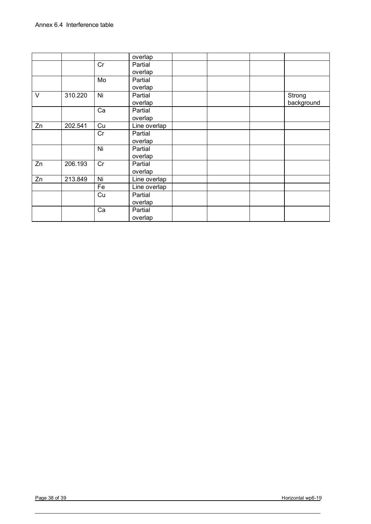|    |         |    | overlap      |  |            |
|----|---------|----|--------------|--|------------|
|    |         | Cr | Partial      |  |            |
|    |         |    | overlap      |  |            |
|    |         | Mo | Partial      |  |            |
|    |         |    | overlap      |  |            |
| V  | 310.220 | Ni | Partial      |  | Strong     |
|    |         |    | overlap      |  | background |
|    |         | Ca | Partial      |  |            |
|    |         |    | overlap      |  |            |
| Zn | 202.541 | Cu | Line overlap |  |            |
|    |         | Cr | Partial      |  |            |
|    |         |    | overlap      |  |            |
|    |         | Ni | Partial      |  |            |
|    |         |    | overlap      |  |            |
| Zn | 206.193 | Cr | Partial      |  |            |
|    |         |    | overlap      |  |            |
| Zn | 213.849 | Ni | Line overlap |  |            |
|    |         | Fe | Line overlap |  |            |
|    |         | Cu | Partial      |  |            |
|    |         |    | overlap      |  |            |
|    |         | Ca | Partial      |  |            |
|    |         |    | overlap      |  |            |